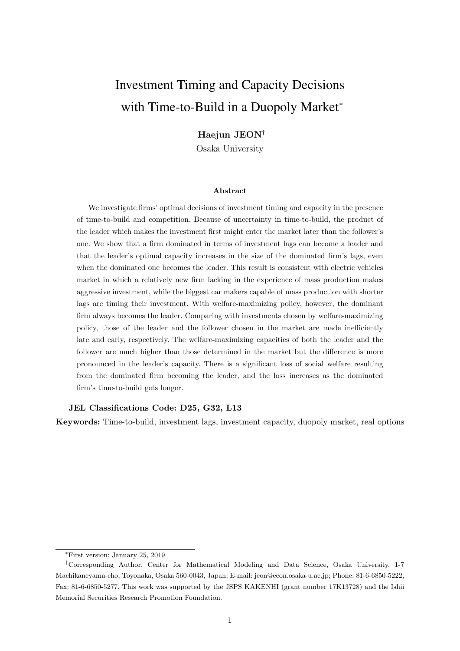# Investment Timing and Capacity Decisions with Time-to-Build in a Duopoly Market<sup>\*</sup>

## Haejun JEON<sup>†</sup>

Osaka University

#### Abstract

We investigate firms' optimal decisions of investment timing and capacity in the presence of time-to-build and competition. Because of uncertainty in time-to-build, the product of the leader which makes the investment first might enter the market later than the follower's one. We show that a firm dominated in terms of investment lags can become a leader and that the leader's optimal capacity increases in the size of the dominated firm's lags, even when the dominated one becomes the leader. This result is consistent with electric vehicles market in which a relatively new firm lacking in the experience of mass production makes aggressive investment, while the biggest car makers capable of mass production with shorter lags are timing their investment. With welfare-maximizing policy, however, the dominant firm always becomes the leader. Comparing with investments chosen by welfare-maximizing policy, those of the leader and the follower chosen in the market are made inefficiently late and early, respectively. The welfare-maximizing capacities of both the leader and the follower are much higher than those determined in the market but the difference is more pronounced in the leader's capacity. There is a significant loss of social welfare resulting from the dominated firm becoming the leader, and the loss increases as the dominated firm's time-to-build gets longer.

#### JEL Classifications Code: D25, G32, L13

Keywords: Time-to-build, investment lags, investment capacity, duopoly market, real options

<sup>∗</sup>First version: January 25, 2019.

<sup>†</sup>Corresponding Author. Center for Mathematical Modeling and Data Science, Osaka University, 1-7 Machikaneyama-cho, Toyonaka, Osaka 560-0043, Japan; E-mail: jeon@econ.osaka-u.ac.jp; Phone: 81-6-6850-5222, Fax: 81-6-6850-5277. This work was supported by the JSPS KAKENHI (grant number 17K13728) and the Ishii Memorial Securities Research Promotion Foundation.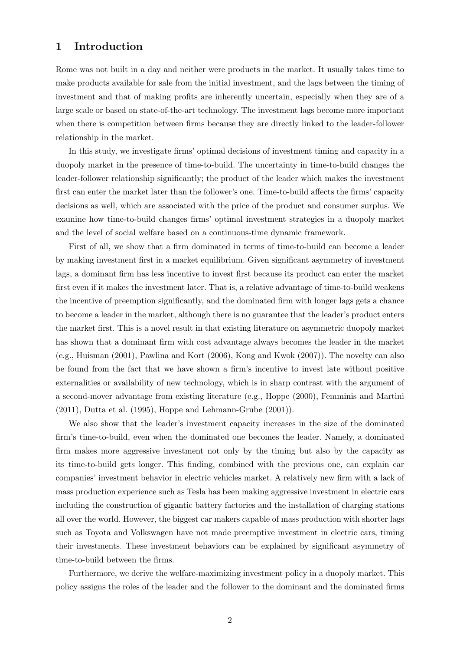# 1 Introduction

Rome was not built in a day and neither were products in the market. It usually takes time to make products available for sale from the initial investment, and the lags between the timing of investment and that of making profits are inherently uncertain, especially when they are of a large scale or based on state-of-the-art technology. The investment lags become more important when there is competition between firms because they are directly linked to the leader-follower relationship in the market.

In this study, we investigate firms' optimal decisions of investment timing and capacity in a duopoly market in the presence of time-to-build. The uncertainty in time-to-build changes the leader-follower relationship significantly; the product of the leader which makes the investment first can enter the market later than the follower's one. Time-to-build affects the firms' capacity decisions as well, which are associated with the price of the product and consumer surplus. We examine how time-to-build changes firms' optimal investment strategies in a duopoly market and the level of social welfare based on a continuous-time dynamic framework.

First of all, we show that a firm dominated in terms of time-to-build can become a leader by making investment first in a market equilibrium. Given significant asymmetry of investment lags, a dominant firm has less incentive to invest first because its product can enter the market first even if it makes the investment later. That is, a relative advantage of time-to-build weakens the incentive of preemption significantly, and the dominated firm with longer lags gets a chance to become a leader in the market, although there is no guarantee that the leader's product enters the market first. This is a novel result in that existing literature on asymmetric duopoly market has shown that a dominant firm with cost advantage always becomes the leader in the market (e.g., Huisman (2001), Pawlina and Kort (2006), Kong and Kwok (2007)). The novelty can also be found from the fact that we have shown a firm's incentive to invest late without positive externalities or availability of new technology, which is in sharp contrast with the argument of a second-mover advantage from existing literature (e.g., Hoppe (2000), Femminis and Martini (2011), Dutta et al. (1995), Hoppe and Lehmann-Grube (2001)).

We also show that the leader's investment capacity increases in the size of the dominated firm's time-to-build, even when the dominated one becomes the leader. Namely, a dominated firm makes more aggressive investment not only by the timing but also by the capacity as its time-to-build gets longer. This finding, combined with the previous one, can explain car companies' investment behavior in electric vehicles market. A relatively new firm with a lack of mass production experience such as Tesla has been making aggressive investment in electric cars including the construction of gigantic battery factories and the installation of charging stations all over the world. However, the biggest car makers capable of mass production with shorter lags such as Toyota and Volkswagen have not made preemptive investment in electric cars, timing their investments. These investment behaviors can be explained by significant asymmetry of time-to-build between the firms.

Furthermore, we derive the welfare-maximizing investment policy in a duopoly market. This policy assigns the roles of the leader and the follower to the dominant and the dominated firms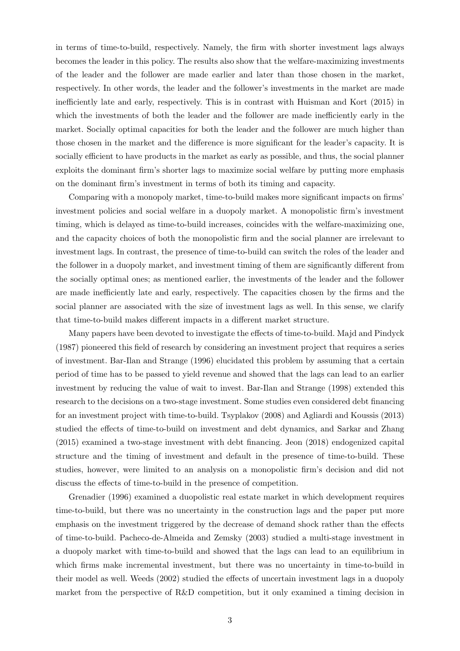in terms of time-to-build, respectively. Namely, the firm with shorter investment lags always becomes the leader in this policy. The results also show that the welfare-maximizing investments of the leader and the follower are made earlier and later than those chosen in the market, respectively. In other words, the leader and the follower's investments in the market are made inefficiently late and early, respectively. This is in contrast with Huisman and Kort (2015) in which the investments of both the leader and the follower are made inefficiently early in the market. Socially optimal capacities for both the leader and the follower are much higher than those chosen in the market and the difference is more significant for the leader's capacity. It is socially efficient to have products in the market as early as possible, and thus, the social planner exploits the dominant firm's shorter lags to maximize social welfare by putting more emphasis on the dominant firm's investment in terms of both its timing and capacity.

Comparing with a monopoly market, time-to-build makes more significant impacts on firms' investment policies and social welfare in a duopoly market. A monopolistic firm's investment timing, which is delayed as time-to-build increases, coincides with the welfare-maximizing one, and the capacity choices of both the monopolistic firm and the social planner are irrelevant to investment lags. In contrast, the presence of time-to-build can switch the roles of the leader and the follower in a duopoly market, and investment timing of them are significantly different from the socially optimal ones; as mentioned earlier, the investments of the leader and the follower are made inefficiently late and early, respectively. The capacities chosen by the firms and the social planner are associated with the size of investment lags as well. In this sense, we clarify that time-to-build makes different impacts in a different market structure.

Many papers have been devoted to investigate the effects of time-to-build. Majd and Pindyck (1987) pioneered this field of research by considering an investment project that requires a series of investment. Bar-Ilan and Strange (1996) elucidated this problem by assuming that a certain period of time has to be passed to yield revenue and showed that the lags can lead to an earlier investment by reducing the value of wait to invest. Bar-Ilan and Strange (1998) extended this research to the decisions on a two-stage investment. Some studies even considered debt financing for an investment project with time-to-build. Tsyplakov (2008) and Agliardi and Koussis (2013) studied the effects of time-to-build on investment and debt dynamics, and Sarkar and Zhang (2015) examined a two-stage investment with debt financing. Jeon (2018) endogenized capital structure and the timing of investment and default in the presence of time-to-build. These studies, however, were limited to an analysis on a monopolistic firm's decision and did not discuss the effects of time-to-build in the presence of competition.

Grenadier (1996) examined a duopolistic real estate market in which development requires time-to-build, but there was no uncertainty in the construction lags and the paper put more emphasis on the investment triggered by the decrease of demand shock rather than the effects of time-to-build. Pacheco-de-Almeida and Zemsky (2003) studied a multi-stage investment in a duopoly market with time-to-build and showed that the lags can lead to an equilibrium in which firms make incremental investment, but there was no uncertainty in time-to-build in their model as well. Weeds (2002) studied the effects of uncertain investment lags in a duopoly market from the perspective of R&D competition, but it only examined a timing decision in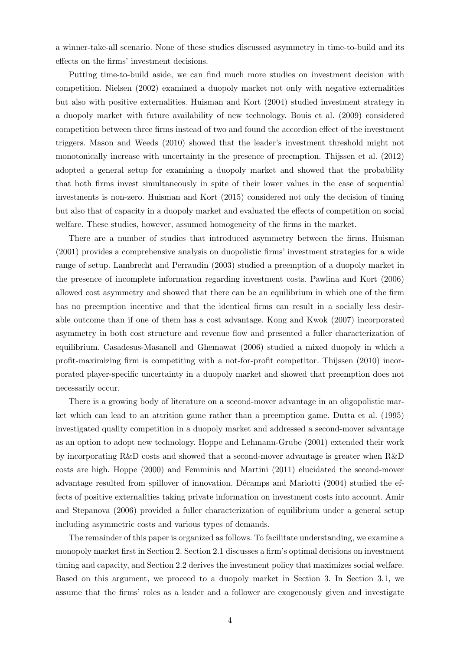a winner-take-all scenario. None of these studies discussed asymmetry in time-to-build and its effects on the firms' investment decisions.

Putting time-to-build aside, we can find much more studies on investment decision with competition. Nielsen (2002) examined a duopoly market not only with negative externalities but also with positive externalities. Huisman and Kort (2004) studied investment strategy in a duopoly market with future availability of new technology. Bouis et al. (2009) considered competition between three firms instead of two and found the accordion effect of the investment triggers. Mason and Weeds (2010) showed that the leader's investment threshold might not monotonically increase with uncertainty in the presence of preemption. Thijssen et al. (2012) adopted a general setup for examining a duopoly market and showed that the probability that both firms invest simultaneously in spite of their lower values in the case of sequential investments is non-zero. Huisman and Kort (2015) considered not only the decision of timing but also that of capacity in a duopoly market and evaluated the effects of competition on social welfare. These studies, however, assumed homogeneity of the firms in the market.

There are a number of studies that introduced asymmetry between the firms. Huisman (2001) provides a comprehensive analysis on duopolistic firms' investment strategies for a wide range of setup. Lambrecht and Perraudin (2003) studied a preemption of a duopoly market in the presence of incomplete information regarding investment costs. Pawlina and Kort (2006) allowed cost asymmetry and showed that there can be an equilibrium in which one of the firm has no preemption incentive and that the identical firms can result in a socially less desirable outcome than if one of them has a cost advantage. Kong and Kwok (2007) incorporated asymmetry in both cost structure and revenue flow and presented a fuller characterization of equilibrium. Casadesus-Masanell and Ghemawat (2006) studied a mixed duopoly in which a profit-maximizing firm is competiting with a not-for-profit competitor. Thijssen (2010) incorporated player-specific uncertainty in a duopoly market and showed that preemption does not necessarily occur.

There is a growing body of literature on a second-mover advantage in an oligopolistic market which can lead to an attrition game rather than a preemption game. Dutta et al. (1995) investigated quality competition in a duopoly market and addressed a second-mover advantage as an option to adopt new technology. Hoppe and Lehmann-Grube (2001) extended their work by incorporating R&D costs and showed that a second-mover advantage is greater when R&D costs are high. Hoppe (2000) and Femminis and Martini (2011) elucidated the second-mover advantage resulted from spillover of innovation. Décamps and Mariotti (2004) studied the effects of positive externalities taking private information on investment costs into account. Amir and Stepanova (2006) provided a fuller characterization of equilibrium under a general setup including asymmetric costs and various types of demands.

The remainder of this paper is organized as follows. To facilitate understanding, we examine a monopoly market first in Section 2. Section 2.1 discusses a firm's optimal decisions on investment timing and capacity, and Section 2.2 derives the investment policy that maximizes social welfare. Based on this argument, we proceed to a duopoly market in Section 3. In Section 3.1, we assume that the firms' roles as a leader and a follower are exogenously given and investigate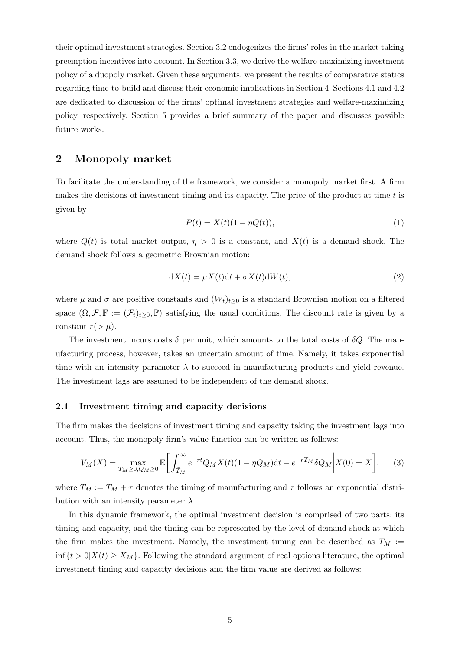their optimal investment strategies. Section 3.2 endogenizes the firms' roles in the market taking preemption incentives into account. In Section 3.3, we derive the welfare-maximizing investment policy of a duopoly market. Given these arguments, we present the results of comparative statics regarding time-to-build and discuss their economic implications in Section 4. Sections 4.1 and 4.2 are dedicated to discussion of the firms' optimal investment strategies and welfare-maximizing policy, respectively. Section 5 provides a brief summary of the paper and discusses possible future works.

## 2 Monopoly market

To facilitate the understanding of the framework, we consider a monopoly market first. A firm makes the decisions of investment timing and its capacity. The price of the product at time  $t$  is given by

$$
P(t) = X(t)(1 - \eta Q(t)),\tag{1}
$$

where  $Q(t)$  is total market output,  $\eta > 0$  is a constant, and  $X(t)$  is a demand shock. The demand shock follows a geometric Brownian motion:

$$
dX(t) = \mu X(t)dt + \sigma X(t)dW(t),
$$
\n(2)

where  $\mu$  and  $\sigma$  are positive constants and  $(W_t)_{t\geq0}$  is a standard Brownian motion on a filtered space  $(\Omega, \mathcal{F}, \mathbb{F} := (\mathcal{F}_t)_{t>0}, \mathbb{P})$  satisfying the usual conditions. The discount rate is given by a constant  $r(>\mu)$ .

The investment incurs costs  $\delta$  per unit, which amounts to the total costs of  $\delta Q$ . The manufacturing process, however, takes an uncertain amount of time. Namely, it takes exponential time with an intensity parameter  $\lambda$  to succeed in manufacturing products and yield revenue. The investment lags are assumed to be independent of the demand shock.

#### 2.1 Investment timing and capacity decisions

The firm makes the decisions of investment timing and capacity taking the investment lags into account. Thus, the monopoly firm's value function can be written as follows:

$$
V_M(X) = \max_{T_M \ge 0, Q_M \ge 0} \mathbb{E}\bigg[\int_{\bar{T}_M}^{\infty} e^{-rt} Q_M X(t) (1 - \eta Q_M) dt - e^{-rT_M} \delta Q_M \bigg| X(0) = X\bigg],\qquad(3)
$$

where  $T_M := T_M + \tau$  denotes the timing of manufacturing and  $\tau$  follows an exponential distribution with an intensity parameter  $\lambda$ .

In this dynamic framework, the optimal investment decision is comprised of two parts: its timing and capacity, and the timing can be represented by the level of demand shock at which the firm makes the investment. Namely, the investment timing can be described as  $T_M :=$  $\inf\{t>0\mid X(t)\geq X_M\}$ . Following the standard argument of real options literature, the optimal investment timing and capacity decisions and the firm value are derived as follows: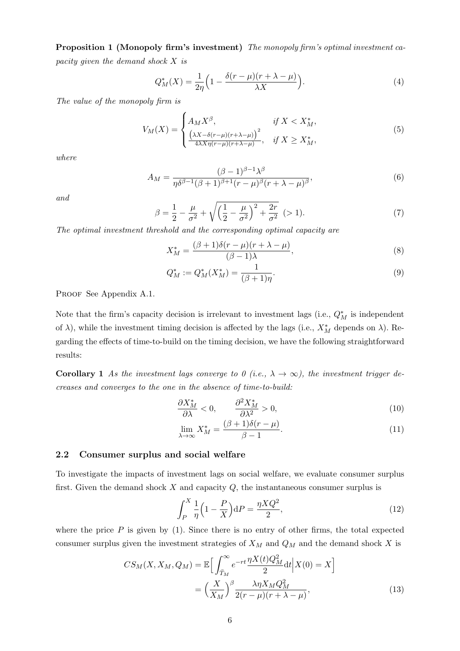Proposition 1 (Monopoly firm's investment) The monopoly firm's optimal investment capacity given the demand shock X is

$$
Q_M^*(X) = \frac{1}{2\eta} \left( 1 - \frac{\delta(r - \mu)(r + \lambda - \mu)}{\lambda X} \right). \tag{4}
$$

The value of the monopoly firm is

$$
V_M(X) = \begin{cases} A_M X^{\beta}, & \text{if } X < X_M^*,\\ \frac{(\lambda X - \delta(r - \mu)(r + \lambda - \mu))^2}{4\lambda X \eta(r - \mu)(r + \lambda - \mu)}, & \text{if } X \ge X_M^*, \end{cases} \tag{5}
$$

where

$$
A_M = \frac{(\beta - 1)^{\beta - 1} \lambda^{\beta}}{\eta \delta^{\beta - 1} (\beta + 1)^{\beta + 1} (r - \mu)^{\beta} (r + \lambda - \mu)^{\beta}},\tag{6}
$$

and

$$
\beta = \frac{1}{2} - \frac{\mu}{\sigma^2} + \sqrt{\left(\frac{1}{2} - \frac{\mu}{\sigma^2}\right)^2 + \frac{2r}{\sigma^2}} \ \ (>1).
$$
\n(7)

The optimal investment threshold and the corresponding optimal capacity are

$$
X_M^* = \frac{(\beta + 1)\delta(r - \mu)(r + \lambda - \mu)}{(\beta - 1)\lambda},\tag{8}
$$

$$
Q_M^* := Q_M^*(X_M^*) = \frac{1}{(\beta+1)\eta}.\tag{9}
$$

PROOF See Appendix A.1.

Note that the firm's capacity decision is irrelevant to investment lags (i.e.,  $Q_M^*$  is independent of  $\lambda$ ), while the investment timing decision is affected by the lags (i.e.,  $X_M^*$  depends on  $\lambda$ ). Regarding the effects of time-to-build on the timing decision, we have the following straightforward results:

**Corollary 1** As the investment lags converge to 0 (i.e.,  $\lambda \to \infty$ ), the investment trigger decreases and converges to the one in the absence of time-to-build:

$$
\frac{\partial X_M^*}{\partial \lambda} < 0, \qquad \frac{\partial^2 X_M^*}{\partial \lambda^2} > 0,\tag{10}
$$

$$
\lim_{\lambda \to \infty} X_M^* = \frac{(\beta + 1)\delta(r - \mu)}{\beta - 1}.
$$
\n(11)

#### 2.2 Consumer surplus and social welfare

To investigate the impacts of investment lags on social welfare, we evaluate consumer surplus first. Given the demand shock  $X$  and capacity  $Q$ , the instantaneous consumer surplus is

$$
\int_{P}^{X} \frac{1}{\eta} \left( 1 - \frac{P}{X} \right) dP = \frac{\eta X Q^2}{2},\tag{12}
$$

where the price  $P$  is given by (1). Since there is no entry of other firms, the total expected consumer surplus given the investment strategies of  $X_M$  and  $Q_M$  and the demand shock X is

$$
CS_M(X, X_M, Q_M) = \mathbb{E}\Big[\int_{\bar{T}_M}^{\infty} e^{-rt} \frac{\eta X(t) Q_M^2}{2} dt \Big| X(0) = X\Big]
$$

$$
= \Big(\frac{X}{X_M}\Big)^{\beta} \frac{\lambda \eta X_M Q_M^2}{2(r - \mu)(r + \lambda - \mu)},
$$
(13)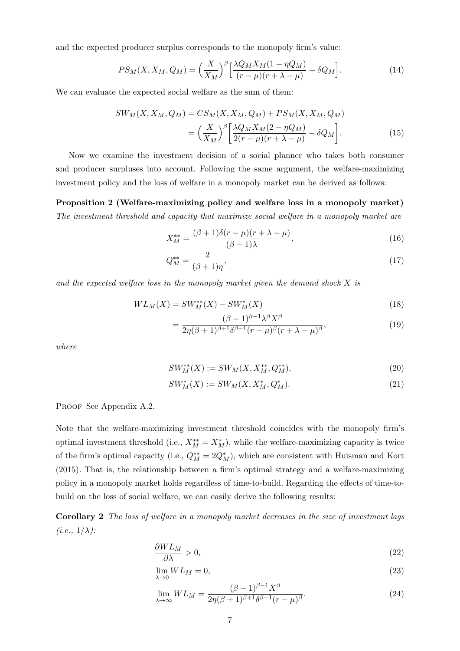and the expected producer surplus corresponds to the monopoly firm's value:

$$
PS_M(X, X_M, Q_M) = \left(\frac{X}{X_M}\right)^{\beta} \left[\frac{\lambda Q_M X_M (1 - \eta Q_M)}{(r - \mu)(r + \lambda - \mu)} - \delta Q_M\right].
$$
\n(14)

We can evaluate the expected social welfare as the sum of them:

$$
SW_M(X, X_M, Q_M) = CS_M(X, X_M, Q_M) + PS_M(X, X_M, Q_M)
$$

$$
= \left(\frac{X}{X_M}\right)^{\beta} \left[\frac{\lambda Q_M X_M (2 - \eta Q_M)}{2(r - \mu)(r + \lambda - \mu)} - \delta Q_M\right].
$$
(15)

Now we examine the investment decision of a social planner who takes both consumer and producer surpluses into account. Following the same argument, the welfare-maximizing investment policy and the loss of welfare in a monopoly market can be derived as follows:

Proposition 2 (Welfare-maximizing policy and welfare loss in a monopoly market) The investment threshold and capacity that maximize social welfare in a monopoly market are

$$
X_M^{**} = \frac{(\beta + 1)\delta(r - \mu)(r + \lambda - \mu)}{(\beta - 1)\lambda},\tag{16}
$$

$$
Q_M^{**} = \frac{2}{(\beta + 1)\eta},\tag{17}
$$

and the expected welfare loss in the monopoly market given the demand shock X is

$$
WL_M(X) = SW_M^{**}(X) - SW_M^*(X)
$$
\n(18)

$$
=\frac{(\beta-1)^{\beta-1}\lambda^{\beta}X^{\beta}}{2\eta(\beta+1)^{\beta+1}\delta^{\beta-1}(r-\mu)^{\beta}(r+\lambda-\mu)^{\beta}},\tag{19}
$$

where

$$
SW_M^{**}(X) := SW_M(X, X_M^{**}, Q_M^{**}),\tag{20}
$$

$$
SW_M^*(X) := SW_M(X, X_M^*, Q_M^*).
$$
\n(21)

PROOF See Appendix A.2.

Note that the welfare-maximizing investment threshold coincides with the monopoly firm's optimal investment threshold (i.e.,  $X_M^{**} = X_M^*$ ), while the welfare-maximizing capacity is twice of the firm's optimal capacity (i.e.,  $Q_M^{**} = 2Q_M^*$ ), which are consistent with Huisman and Kort (2015). That is, the relationship between a firm's optimal strategy and a welfare-maximizing policy in a monopoly market holds regardless of time-to-build. Regarding the effects of time-tobuild on the loss of social welfare, we can easily derive the following results:

Corollary 2 The loss of welfare in a monopoly market decreases in the size of investment lags  $(i.e., 1/\lambda):$ 

$$
\frac{\partial WL_M}{\partial \lambda} > 0,\tag{22}
$$

$$
\lim_{\lambda \to 0} WL_M = 0,\tag{23}
$$

$$
\lim_{\lambda \to \infty} WL_M = \frac{(\beta - 1)^{\beta - 1} X^{\beta}}{2\eta(\beta + 1)^{\beta + 1} \delta^{\beta - 1} (r - \mu)^{\beta}}.
$$
\n(24)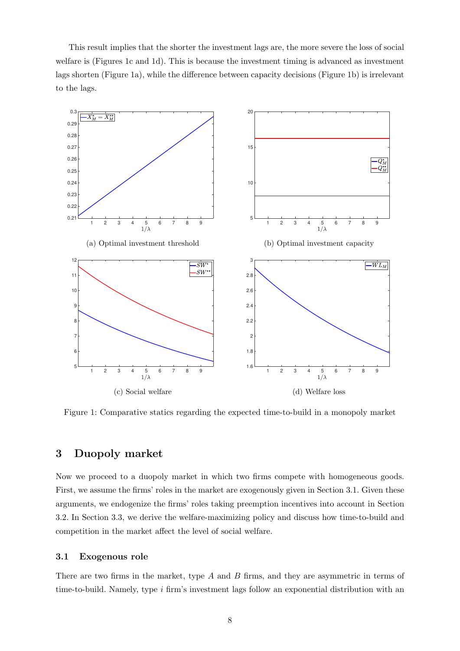This result implies that the shorter the investment lags are, the more severe the loss of social welfare is (Figures 1c and 1d). This is because the investment timing is advanced as investment lags shorten (Figure 1a), while the difference between capacity decisions (Figure 1b) is irrelevant to the lags.



Figure 1: Comparative statics regarding the expected time-to-build in a monopoly market

# 3 Duopoly market

Now we proceed to a duopoly market in which two firms compete with homogeneous goods. First, we assume the firms' roles in the market are exogenously given in Section 3.1. Given these arguments, we endogenize the firms' roles taking preemption incentives into account in Section 3.2. In Section 3.3, we derive the welfare-maximizing policy and discuss how time-to-build and competition in the market affect the level of social welfare.

#### 3.1 Exogenous role

There are two firms in the market, type A and B firms, and they are asymmetric in terms of time-to-build. Namely, type  $i$  firm's investment lags follow an exponential distribution with an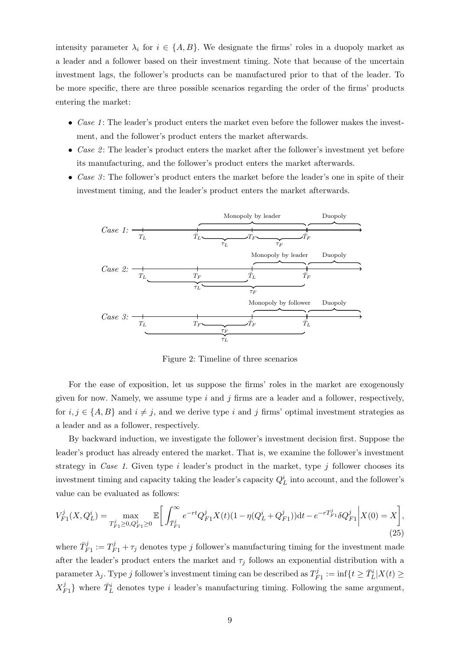intensity parameter  $\lambda_i$  for  $i \in \{A, B\}$ . We designate the firms' roles in a duopoly market as a leader and a follower based on their investment timing. Note that because of the uncertain investment lags, the follower's products can be manufactured prior to that of the leader. To be more specific, there are three possible scenarios regarding the order of the firms' products entering the market:

- Case 1: The leader's product enters the market even before the follower makes the investment, and the follower's product enters the market afterwards.
- Case  $\mathcal{L}$ : The leader's product enters the market after the follower's investment yet before its manufacturing, and the follower's product enters the market afterwards.
- Case  $\beta$ : The follower's product enters the market before the leader's one in spite of their investment timing, and the leader's product enters the market afterwards.



Figure 2: Timeline of three scenarios

For the ease of exposition, let us suppose the firms' roles in the market are exogenously given for now. Namely, we assume type  $i$  and  $j$  firms are a leader and a follower, respectively, for  $i, j \in \{A, B\}$  and  $i \neq j$ , and we derive type i and j firms' optimal investment strategies as a leader and as a follower, respectively.

By backward induction, we investigate the follower's investment decision first. Suppose the leader's product has already entered the market. That is, we examine the follower's investment strategy in Case 1. Given type  $i$  leader's product in the market, type  $j$  follower chooses its investment timing and capacity taking the leader's capacity  $Q_L^i$  into account, and the follower's value can be evaluated as follows:

$$
V_{F1}^{j}(X, Q_{L}^{i}) = \max_{T_{F1}^{j} \ge 0, Q_{F1}^{j} \ge 0} \mathbb{E} \bigg[ \int_{\bar{T}_{F1}^{j}}^{\infty} e^{-rt} Q_{F1}^{j} X(t) (1 - \eta (Q_{L}^{i} + Q_{F1}^{j})) dt - e^{-rT_{F1}^{j}} \delta Q_{F1}^{j} \bigg| X(0) = X \bigg], \tag{25}
$$

where  $\bar{T}_{F1}^j := T_{F1}^j + \tau_j$  denotes type j follower's manufacturing timing for the investment made after the leader's product enters the market and  $\tau_j$  follows an exponential distribution with a parameter  $\lambda_j$ . Type j follower's investment timing can be described as  $T^j_F$  $F_1 := \inf\{t \geq \bar{T}_L^i | X(t) \geq$  $X^j_k$  $\{F_1\}$  where  $\bar{T}_L^i$  denotes type *i* leader's manufacturing timing. Following the same argument,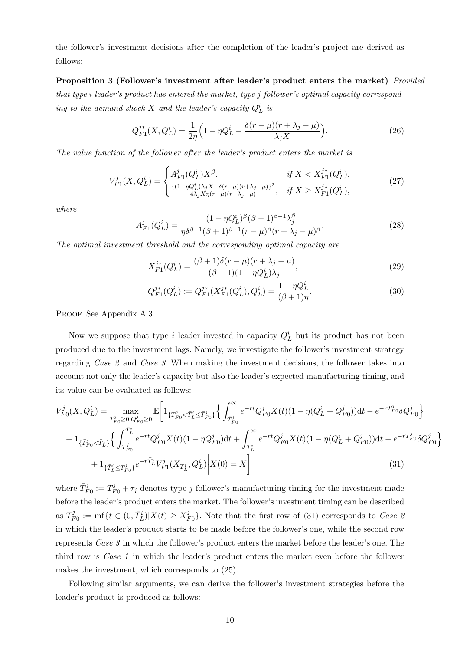the follower's investment decisions after the completion of the leader's project are derived as follows:

Proposition 3 (Follower's investment after leader's product enters the market) Provided that type i leader's product has entered the market, type j follower's optimal capacity corresponding to the demand shock X and the leader's capacity  $Q_L^i$  is

$$
Q_{F1}^{j*}(X, Q_L^i) = \frac{1}{2\eta} \Big( 1 - \eta Q_L^i - \frac{\delta(r - \mu)(r + \lambda_j - \mu)}{\lambda_j X} \Big). \tag{26}
$$

The value function of the follower after the leader's product enters the market is

$$
V_{F1}^{j}(X, Q_{L}^{i}) = \begin{cases} A_{F1}^{j}(Q_{L}^{i})X^{\beta}, & \text{if } X < X_{F1}^{j*}(Q_{L}^{i}), \\ \frac{\{(1 - \eta Q_{L}^{i})\lambda_{j}X - \delta(r - \mu)(r + \lambda_{j} - \mu)\}^{2}}{4\lambda_{j}X\eta(r - \mu)(r + \lambda_{j} - \mu)}, & \text{if } X \ge X_{F1}^{j*}(Q_{L}^{i}), \end{cases}
$$
(27)

where

$$
A_{F1}^{j}(Q_{L}^{i}) = \frac{(1 - \eta Q_{L}^{i})^{\beta}(\beta - 1)^{\beta - 1}\lambda_{j}^{\beta}}{\eta \delta^{\beta - 1}(\beta + 1)^{\beta + 1}(r - \mu)^{\beta}(r + \lambda_{j} - \mu)^{\beta}}.
$$
\n(28)

The optimal investment threshold and the corresponding optimal capacity are

$$
X_{F1}^{j*}(Q_L^i) = \frac{(\beta + 1)\delta(r - \mu)(r + \lambda_j - \mu)}{(\beta - 1)(1 - \eta Q_L^i)\lambda_j},\tag{29}
$$

$$
Q_{F1}^{j*}(Q_L^i) := Q_{F1}^{j*}(X_{F1}^{j*}(Q_L^i), Q_L^i) = \frac{1 - \eta Q_L^i}{(\beta + 1)\eta}.
$$
\n(30)

PROOF See Appendix A.3.

Now we suppose that type i leader invested in capacity  $Q_L^i$  but its product has not been produced due to the investment lags. Namely, we investigate the follower's investment strategy regarding Case 2 and Case 3. When making the investment decisions, the follower takes into account not only the leader's capacity but also the leader's expected manufacturing timing, and its value can be evaluated as follows:

$$
V_{F0}^{j}(X, Q_{L}^{i}) = \max_{T_{F0}^{j} \ge 0, Q_{F0}^{j} \ge 0} \mathbb{E}\left[1_{\{T_{F0}^{j} < \bar{T}_{L}^{i} \le \bar{T}_{F0}^{j}\}}\left\{\int_{\bar{T}_{F0}^{j}}^{\infty} e^{-rt} Q_{F0}^{j} X(t) (1 - \eta(Q_{L}^{i} + Q_{F0}^{j})) dt - e^{-rT_{F0}^{j}} \delta Q_{F0}^{j}\right\}\right] + 1_{\{\bar{T}_{F0}^{j} < \bar{T}_{L}^{i}\}}\left\{\int_{\bar{T}_{F0}^{j}}^{\bar{T}_{L}^{i}} e^{-rt} Q_{F0}^{j} X(t) (1 - \eta Q_{F0}^{j}) dt + \int_{\bar{T}_{L}^{i}}^{\infty} e^{-rt} Q_{F0}^{j} X(t) (1 - \eta(Q_{L}^{i} + Q_{F0}^{j})) dt - e^{-rT_{F0}^{j}} \delta Q_{F0}^{j}\right\} + 1_{\{\bar{T}_{L}^{i} \le T_{F0}^{j}\}} e^{-r\bar{T}_{L}^{i}} V_{F1}^{j}(X_{\bar{T}_{L}^{i}}, Q_{L}^{i})\left|X(0) = X\right]
$$
\n(31)

where  $\bar{T}_{F0}^{j} := T_{F0}^{j} + \tau_{j}$  denotes type j follower's manufacturing timing for the investment made before the leader's product enters the market. The follower's investment timing can be described as  $T_F^j$  $F_B^{j} := \inf\{t \in (0, \bar{T}_L^i) | X(t) \ge X_I^j\}$  $^{\{J\}}_{F0}$ . Note that the first row of (31) corresponds to *Case* 2 in which the leader's product starts to be made before the follower's one, while the second row represents Case 3 in which the follower's product enters the market before the leader's one. The third row is Case 1 in which the leader's product enters the market even before the follower makes the investment, which corresponds to (25).

Following similar arguments, we can derive the follower's investment strategies before the leader's product is produced as follows: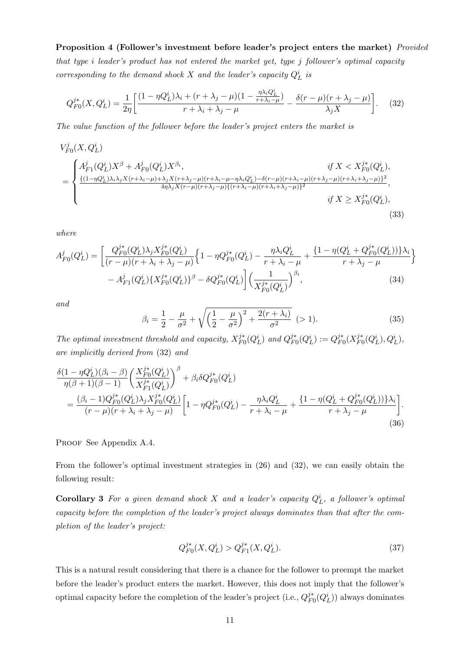Proposition 4 (Follower's investment before leader's project enters the market) Provided that type i leader's product has not entered the market yet, type j follower's optimal capacity corresponding to the demand shock  $X$  and the leader's capacity  $Q_L^i$  is

$$
Q_{F0}^{j*}(X, Q_L^i) = \frac{1}{2\eta} \left[ \frac{(1 - \eta Q_L^i)\lambda_i + (r + \lambda_j - \mu)(1 - \frac{\eta \lambda_i Q_L^i}{r + \lambda_i - \mu})}{r + \lambda_i + \lambda_j - \mu} - \frac{\delta(r - \mu)(r + \lambda_j - \mu)}{\lambda_j X} \right].
$$
 (32)

The value function of the follower before the leader's project enters the market is

$$
V_{F0}^{j}(X, Q_{L}^{i})
$$
\n
$$
= \begin{cases}\nA_{F1}^{j}(Q_{L}^{i})X^{\beta} + A_{F0}^{j}(Q_{L}^{i})X^{\beta_{i}}, & \text{if } X < X_{F0}^{j*}(Q_{L}^{i}), \\
\frac{\{(1-\eta Q_{L}^{i})\lambda_{i}\lambda_{j}X(r+\lambda_{i}-\mu)+\lambda_{j}X(r+\lambda_{j}-\mu)(r+\lambda_{i}-\mu-\eta\lambda_{i}Q_{L}^{i})-\delta(r-\mu)(r+\lambda_{i}-\mu)(r+\lambda_{j}-\mu)(r+\lambda_{i}+\lambda_{j}-\mu)\}^{2}}{4\eta\lambda_{j}X(r-\mu)(r+\lambda_{j}-\mu)\{(r+\lambda_{i}-\mu)(r+\lambda_{i}+\lambda_{j}-\mu)\}^{2}}, & \text{if } X \geq X_{F0}^{j*}(Q_{L}^{i}), \\
& (33)\n\end{cases}
$$

where

$$
A_{F0}^{j}(Q_{L}^{i}) = \left[ \frac{Q_{F0}^{j*}(Q_{L}^{i})\lambda_{j}X_{F0}^{j*}(Q_{L}^{i})}{(r-\mu)(r+\lambda_{i}+\lambda_{j}-\mu)} \left\{ 1 - \eta Q_{F0}^{j*}(Q_{L}^{i}) - \frac{\eta\lambda_{i}Q_{L}^{i}}{r+\lambda_{i}-\mu} + \frac{\{1 - \eta(Q_{L}^{i} + Q_{F0}^{j*}(Q_{L}^{i}))\}\lambda_{i}}{r+\lambda_{j}-\mu} \right\} - A_{F1}^{j}(Q_{L}^{i})\left\{ X_{F0}^{j*}(Q_{L}^{i}) \right\}^{\beta} - \delta Q_{F0}^{j*}(Q_{L}^{i}) \left[ \left(\frac{1}{X_{F0}^{j*}(Q_{L}^{i})}\right)^{\beta_{i}}, \tag{34}
$$

and

$$
\beta_i = \frac{1}{2} - \frac{\mu}{\sigma^2} + \sqrt{\left(\frac{1}{2} - \frac{\mu}{\sigma^2}\right)^2 + \frac{2(r + \lambda_i)}{\sigma^2}} \quad (> 1).
$$
\n(35)

The optimal investment threshold and capacity,  $X_{FQ}^{j*}$  $_{F0}^{j*}(Q_L^i)$  and  $Q_{F0}^{j*}$  $j^*_{F0}(Q_L^i) := Q_{F0}^{j*}$  $_{F0}^{j\ast}(X_{F0}^{j\ast}% ,\mathcal{O}_{F0}^{\ast})\simeq K_{F0}^{j\ast}(\mathcal{O}_{F0}^{\ast})$  ${}_{F0}^{j*}(Q_L^i), Q_L^i),$ are implicitly derived from (32) and

$$
\frac{\delta(1-\eta Q_L^i)(\beta_i-\beta)}{\eta(\beta+1)(\beta-1)} \left(\frac{X_{F0}^{j*}(Q_L^i)}{X_{F1}^{j*}(Q_L^i)}\right)^{\beta} + \beta_i \delta Q_{F0}^{j*}(Q_L^i) \n= \frac{(\beta_i-1)Q_{F0}^{j*}(Q_L^i)\lambda_j X_{F0}^{j*}(Q_L^i)}{(r-\mu)(r+\lambda_i+\lambda_j-\mu)} \left[1-\eta Q_{F0}^{j*}(Q_L^i) - \frac{\eta \lambda_i Q_L^i}{r+\lambda_i-\mu} + \frac{\{1-\eta(Q_L^i+Q_{F0}^{j*}(Q_L^i))\}\lambda_i}{r+\lambda_j-\mu}\right].
$$
\n(36)

PROOF See Appendix A.4.

From the follower's optimal investment strategies in (26) and (32), we can easily obtain the following result:

**Corollary 3** For a given demand shock X and a leader's capacity  $Q_L^i$ , a follower's optimal capacity before the completion of the leader's project always dominates than that after the completion of the leader's project:

$$
Q_{F0}^{j*}(X, Q_L^i) > Q_{F1}^{j*}(X, Q_L^i). \tag{37}
$$

This is a natural result considering that there is a chance for the follower to preempt the market before the leader's product enters the market. However, this does not imply that the follower's optimal capacity before the completion of the leader's project (i.e.,  $Q_{F}^{j*}$  $\frac{j^*}{F_0}(Q_L^i)$  always dominates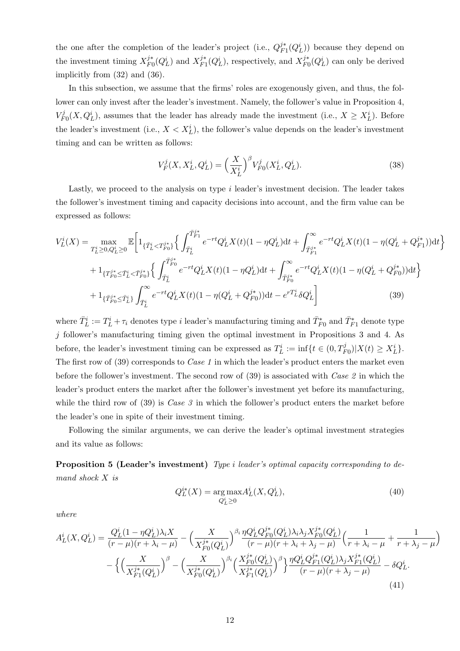the one after the completion of the leader's project (i.e.,  $Q_F^{j*}$  $\frac{j^*}{F_1}(Q_L^i)$  because they depend on the investment timing  $X_{F_1}^{j*}$  $j^*_{F0}(Q_L^i)$  and  $X_{F1}^{j*}$  $j_{F1}^{j*}(Q_L^i)$ , respectively, and  $X_{FQ}^{j*}$  $\frac{j^*}{F_0}(Q_L^i)$  can only be derived implicitly from (32) and (36).

In this subsection, we assume that the firms' roles are exogenously given, and thus, the follower can only invest after the leader's investment. Namely, the follower's value in Proposition 4,  $V^j_F$  $F_0(X, Q_L^i)$ , assumes that the leader has already made the investment (i.e.,  $X \ge X_L^i$ ). Before the leader's investment (i.e.,  $X < X_L^i$ ), the follower's value depends on the leader's investment timing and can be written as follows:

$$
V_F^j(X, X_L^i, Q_L^i) = \left(\frac{X}{X_L^i}\right)^{\beta} V_{F0}^j(X_L^i, Q_L^i).
$$
 (38)

Lastly, we proceed to the analysis on type  $i$  leader's investment decision. The leader takes the follower's investment timing and capacity decisions into account, and the firm value can be expressed as follows:

$$
V_{L}^{i}(X) = \max_{T_{L}^{i} \ge 0, Q_{L}^{i} \ge 0} \mathbb{E} \left[ 1_{\{\bar{T}_{L}^{i} < T_{F0}^{j*}\}} \left\{ \int_{\bar{T}_{L}^{i}}^{\bar{T}_{F1}^{i*}} e^{-rt} Q_{L}^{i} X(t) (1 - \eta Q_{L}^{i}) dt + \int_{\bar{T}_{F1}^{j*}}^{\infty} e^{-rt} Q_{L}^{i} X(t) (1 - \eta (Q_{L}^{i} + Q_{F1}^{j*})) dt \right\} + 1_{\{T_{F0}^{j*} \le \bar{T}_{L}^{i} < \bar{T}_{F0}^{j*}\}} \left\{ \int_{\bar{T}_{L}^{i}}^{\bar{T}_{F0}^{j*}} e^{-rt} Q_{L}^{i} X(t) (1 - \eta Q_{L}^{i}) dt + \int_{\bar{T}_{F0}^{j*}}^{\infty} e^{-rt} Q_{L}^{i} X(t) (1 - \eta (Q_{L}^{i} + Q_{F0}^{j*})) dt \right\} + 1_{\{\bar{T}_{F0}^{j*} \le \bar{T}_{L}^{i}\}} \int_{\bar{T}_{L}^{i}}^{\infty} e^{-rt} Q_{L}^{i} X(t) (1 - \eta (Q_{L}^{i} + Q_{F0}^{j*})) dt - e^{r} \bar{T}_{L}^{i} \delta Q_{L}^{i} \right] \tag{39}
$$

where  $\bar{T}_L^i := T_L^i + \tau_i$  denotes type i leader's manufacturing timing and  $\bar{T}_{F0}^*$  and  $\bar{T}_{F1}^*$  denote type  $j$  follower's manufacturing timing given the optimal investment in Propositions 3 and 4. As before, the leader's investment timing can be expressed as  $T_L^i := \inf\{t \in (0, T_{F0}^j)|X(t) \ge X_L^i\}.$ The first row of (39) corresponds to *Case 1* in which the leader's product enters the market even before the follower's investment. The second row of (39) is associated with *Case 2* in which the leader's product enters the market after the follower's investment yet before its manufacturing, while the third row of  $(39)$  is *Case 3* in which the follower's product enters the market before the leader's one in spite of their investment timing.

Following the similar arguments, we can derive the leader's optimal investment strategies and its value as follows:

Proposition 5 (Leader's investment) Type i leader's optimal capacity corresponding to demand shock X is

$$
Q_L^{i*}(X) = \underset{Q_L^i \ge 0}{\arg \max} A_L^i(X, Q_L^i),\tag{40}
$$

where

$$
A_L^i(X, Q_L^i) = \frac{Q_L^i(1 - \eta Q_L^i)\lambda_i X}{(r - \mu)(r + \lambda_i - \mu)} - \left(\frac{X}{X_{F0}^{j*}(Q_L^i)}\right)^{\beta_i} \frac{\eta Q_L^i Q_F^{j*}(Q_L^i)\lambda_i \lambda_j X_{F0}^{j*}(Q_L^i)}{(r - \mu)(r + \lambda_i + \lambda_j - \mu)} \left(\frac{1}{r + \lambda_i - \mu} + \frac{1}{r + \lambda_j - \mu}\right) - \left\{\left(\frac{X}{X_{F1}^{j*}(Q_L^i)}\right)^{\beta} - \left(\frac{X}{X_{F0}^{j*}(Q_L^i)}\right)^{\beta_i} \left(\frac{X_{F0}^{j*}(Q_L^i)}{X_{F1}^{j*}(Q_L^i)}\right)^{\beta}\right\} \frac{\eta Q_L^i Q_F^{j*}(Q_L^i)\lambda_j X_{F1}^{j*}(Q_L^i)}{(r - \mu)(r + \lambda_j - \mu)} - \delta Q_L^i.
$$
\n(41)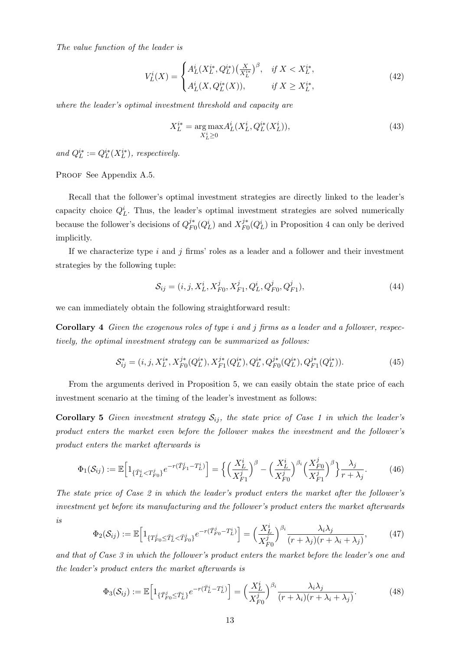The value function of the leader is

$$
V_L^i(X) = \begin{cases} A_L^i(X_L^{i*}, Q_L^{i*}) \left(\frac{X}{X_L^{i*}}\right)^{\beta}, & \text{if } X < X_L^{i*}, \\ A_L^i(X, Q_L^{i*}(X)), & \text{if } X \ge X_L^{i*}, \end{cases} \tag{42}
$$

where the leader's optimal investment threshold and capacity are

$$
X_L^{i*} = \underset{X_L^i \ge 0}{\arg \max} A_L^i(X_L^i, Q_L^{i*}(X_L^i)),\tag{43}
$$

and  $Q_L^{i*} := Q_L^{i*}(X_L^{i*})$ , respectively.

PROOF See Appendix A.5.

Recall that the follower's optimal investment strategies are directly linked to the leader's capacity choice  $Q_L^i$ . Thus, the leader's optimal investment strategies are solved numerically because the follower's decisions of  $Q_{F}^{j*}$  $i_{F0}^i(Q_L^i)$  and  $X_{F0}^{j*}$  $j_{F0}^{j*}(Q_L^i)$  in Proposition 4 can only be derived implicitly.

If we characterize type  $i$  and  $j$  firms' roles as a leader and a follower and their investment strategies by the following tuple:

$$
S_{ij} = (i, j, X_L^i, X_{F0}^j, X_{F1}^j, Q_L^i, Q_{F0}^j, Q_{F1}^j),
$$
\n(44)

we can immediately obtain the following straightforward result:

Corollary 4 Given the exogenous roles of type i and j firms as a leader and a follower, respectively, the optimal investment strategy can be summarized as follows:

$$
S_{ij}^* = (i, j, X_L^{i*}, X_{F0}^{j*}(Q_L^{i*}), X_{F1}^{j*}(Q_L^{i*}), Q_L^{i*}, Q_{F0}^{j*}(Q_L^{i*}), Q_{F1}^{j*}(Q_L^{i*})).
$$
\n(45)

From the arguments derived in Proposition 5, we can easily obtain the state price of each investment scenario at the timing of the leader's investment as follows:

**Corollary 5** Given investment strategy  $S_{ij}$ , the state price of Case 1 in which the leader's product enters the market even before the follower makes the investment and the follower's product enters the market afterwards is

$$
\Phi_1(S_{ij}) := \mathbb{E}\Big[1_{\{\bar{T}_L^i < T_{F0}^j\}} e^{-r(\bar{T}_{F1}^j - T_L^i)}\Big] = \Big\{\Big(\frac{X_L^i}{X_{F1}^j}\Big)^\beta - \Big(\frac{X_L^i}{X_{F0}^j}\Big)^\beta \Big(\frac{X_{F0}^j}{X_{F1}^j}\Big)^\beta\Big\}\frac{\lambda_j}{r + \lambda_j}.\tag{46}
$$

The state price of Case 2 in which the leader's product enters the market after the follower's investment yet before its manufacturing and the follower's product enters the market afterwards is

$$
\Phi_2(S_{ij}) := \mathbb{E}\Big[1_{\{T_{F0}^j \le \bar{T}_L^i < \bar{T}_{F0}^j\}} e^{-r(\bar{T}_{F0}^j - T_L^i)}\Big] = \Big(\frac{X_L^i}{X_{F0}^j}\Big)^{\beta_i} \frac{\lambda_i \lambda_j}{(r + \lambda_j)(r + \lambda_i + \lambda_j)},\tag{47}
$$

and that of Case 3 in which the follower's product enters the market before the leader's one and the leader's product enters the market afterwards is

$$
\Phi_3(\mathcal{S}_{ij}) := \mathbb{E}\Big[1_{\{\bar{T}_{F0}^j \leq \bar{T}_L^i\}} e^{-r(\bar{T}_L^i - T_L^i)}\Big] = \Big(\frac{X_L^i}{X_{F0}^j}\Big)^{\beta_i} \frac{\lambda_i \lambda_j}{(r + \lambda_i)(r + \lambda_i + \lambda_j)}.\tag{48}
$$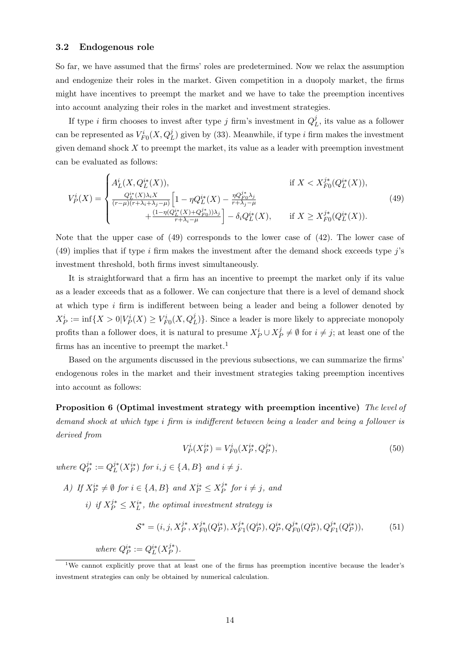#### 3.2 Endogenous role

So far, we have assumed that the firms' roles are predetermined. Now we relax the assumption and endogenize their roles in the market. Given competition in a duopoly market, the firms might have incentives to preempt the market and we have to take the preemption incentives into account analyzing their roles in the market and investment strategies.

If type *i* firm chooses to invest after type *j* firm's investment in  $Q_I^j$  $L<sup>J</sup>$ , its value as a follower can be represented as  $V_{F0}^{i}(X,Q_{L}^{j})$  given by (33). Meanwhile, if type *i* firm makes the investment given demand shock  $X$  to preempt the market, its value as a leader with preemption investment can be evaluated as follows:

$$
V_P^i(X) = \begin{cases} A_L^i(X, Q_L^{i*}(X)), & \text{if } X < X_{F0}^{j*}(Q_L^{i*}(X)),\\ \frac{Q_L^{i*}(X)\lambda_i X}{(r-\mu)(r+\lambda_i+\lambda_j-\mu)} \left[1 - \eta Q_L^{i*}(X) - \frac{\eta Q_{F0}^{j*}\lambda_j}{r+\lambda_j-\mu} + \frac{(1 - \eta(Q_L^{i*}(X) + Q_{F0}^{j*}))\lambda_j}{r+\lambda_i-\mu}\right] - \delta_i Q_L^{i*}(X), & \text{if } X \ge X_{F0}^{j*}(Q_L^{i*}(X)). \end{cases}
$$
(49)

Note that the upper case of (49) corresponds to the lower case of (42). The lower case of (49) implies that if type i firm makes the investment after the demand shock exceeds type  $\vec{j}$ 's investment threshold, both firms invest simultaneously.

It is straightforward that a firm has an incentive to preempt the market only if its value as a leader exceeds that as a follower. We can conjecture that there is a level of demand shock at which type i firm is indifferent between being a leader and being a follower denoted by  $X_P^i := \inf\{X > 0 | V_P^i(X) \geq V_{F0}^i(X, Q_L^j) \}.$  Since a leader is more likely to appreciate monopoly profits than a follower does, it is natural to presume  $X_P^i \cup X_P^j$  $P^j \neq \emptyset$  for  $i \neq j$ ; at least one of the firms has an incentive to preempt the market.<sup>1</sup>

Based on the arguments discussed in the previous subsections, we can summarize the firms' endogenous roles in the market and their investment strategies taking preemption incentives into account as follows:

Proposition 6 (Optimal investment strategy with preemption incentive) The level of demand shock at which type i firm is indifferent between being a leader and being a follower is derived from

$$
V_P^i(X_P^{i*}) = V_{F0}^i(X_P^{i*}, Q_P^{j*}),\tag{50}
$$

where  $Q_P^{j*}$  $P^{j*} := Q_L^{j*}$  $j^*(X_P^{i*})$  for  $i, j \in \{A, B\}$  and  $i \neq j$ .

A) If  $X_P^{i*} \neq \emptyset$  for  $i \in \{A, B\}$  and  $X_P^{i*} \leq X_P^{j*}$  $j^*$  for  $i \neq j$ , and

i) if  $X_P^{j*} \le X_L^{i*}$ , the optimal investment strategy is

$$
\mathcal{S}^* = (i, j, X_P^{j*}, X_{F0}^{j*}(Q_P^{i*}), X_{F1}^{j*}(Q_P^{i*}), Q_P^{i*}, Q_{F0}^{j*}(Q_P^{i*}), Q_{F1}^{j*}(Q_P^{i*})),
$$
(51)

where  $Q_P^{i*} := Q_L^{i*}(X_P^{j*})$  $_{P}^{j*}).$ 

<sup>1</sup>We cannot explicitly prove that at least one of the firms has preemption incentive because the leader's investment strategies can only be obtained by numerical calculation.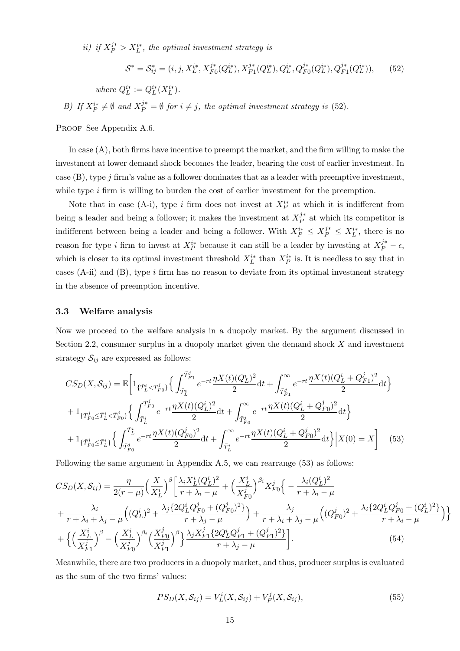ii) if  $X_P^{j*} > X_L^{i*}$ , the optimal investment strategy is

$$
S^* = S_{ij}^* = (i, j, X_L^{i*}, X_{F0}^{j*}(Q_L^{i*}), X_{F1}^{j*}(Q_L^{i*}), Q_L^{i*}, Q_{F0}^{j*}(Q_L^{i*}), Q_{F1}^{j*}(Q_L^{i*})),
$$
(52)

where  $Q_L^{i*} := Q_L^{i*}(X_L^{i*}).$ 

B) If  $X_P^{i*} \neq \emptyset$  and  $X_P^{j*} = \emptyset$  for  $i \neq j$ , the optimal investment strategy is (52).

PROOF See Appendix A.6.

In case (A), both firms have incentive to preempt the market, and the firm willing to make the investment at lower demand shock becomes the leader, bearing the cost of earlier investment. In case  $(B)$ , type j firm's value as a follower dominates that as a leader with preemptive investment, while type  $i$  firm is willing to burden the cost of earlier investment for the preemption.

Note that in case (A-i), type i firm does not invest at  $X_P^{i*}$  at which it is indifferent from being a leader and being a follower; it makes the investment at  $X_P^{j*}$  $P^*$  at which its competitor is indifferent between being a leader and being a follower. With  $X_P^{i*} \leq X_P^{j*} \leq X_L^{i*}$ , there is no reason for type *i* firm to invest at  $X_P^{i*}$  because it can still be a leader by investing at  $X_P^{j*} - \epsilon$ , which is closer to its optimal investment threshold  $X_L^{i*}$  than  $X_P^{i*}$  is. It is needless to say that in cases (A-ii) and (B), type  $i$  firm has no reason to deviate from its optimal investment strategy in the absence of preemption incentive.

#### 3.3 Welfare analysis

Now we proceed to the welfare analysis in a duopoly market. By the argument discussed in Section 2.2, consumer surplus in a duopoly market given the demand shock X and investment strategy  $S_{ij}$  are expressed as follows:

$$
CS_D(X, S_{ij}) = \mathbb{E}\bigg[1_{\{\bar{T}_L^i < T_{F0}^j\}} \left\{ \int_{\bar{T}_L^i}^{\bar{T}_{F1}^j} e^{-rt} \frac{\eta X(t)(Q_L^i)^2}{2} dt + \int_{\bar{T}_{F1}^j}^{\infty} e^{-rt} \frac{\eta X(t)(Q_L^i + Q_{F1}^j)^2}{2} dt \right\} + 1_{\{T_{F0}^j \le \bar{T}_L^i < \bar{T}_{F0}^j\}} \left\{ \int_{\bar{T}_L^i}^{\bar{T}_{F0}^j} e^{-rt} \frac{\eta X(t)(Q_L^i)^2}{2} dt + \int_{\bar{T}_{F0}^j}^{\infty} e^{-rt} \frac{\eta X(t)(Q_L^i + Q_{F0}^j)^2}{2} dt \right\} + 1_{\{\bar{T}_{F0}^j \le \bar{T}_L^i\}} \left\{ \int_{\bar{T}_{F0}^j}^{\bar{T}_L^i} e^{-rt} \frac{\eta X(t)(Q_{F0}^j)^2}{2} dt + \int_{\bar{T}_L^i}^{\infty} e^{-rt} \frac{\eta X(t)(Q_L^i + Q_{F0}^j)^2}{2} dt \right\} \bigg| X(0) = X \bigg] \tag{53}
$$

Following the same argument in Appendix A.5, we can rearrange (53) as follows:

$$
CS_D(X, S_{ij}) = \frac{\eta}{2(r - \mu)} \Big(\frac{X}{X_L^i}\Big)^{\beta} \Big[\frac{\lambda_i X_L^i (Q_L^i)^2}{r + \lambda_i - \mu} + \Big(\frac{X_L^i}{X_{F0}^i}\Big)^{\beta_i} X_{F0}^j \Big\{ - \frac{\lambda_i (Q_L^i)^2}{r + \lambda_i - \mu} + \frac{\lambda_i}{r + \lambda_i + \lambda_j - \mu} \Big((Q_L^i)^2 + \frac{\lambda_j \{2Q_L^i Q_{F0}^j + (Q_{F0}^j)^2\}}{r + \lambda_j - \mu}\Big) + \frac{\lambda_j}{r + \lambda_i + \lambda_j - \mu} \Big((Q_{F0}^j)^2 + \frac{\lambda_i \{2Q_L^i Q_{F0}^j + (Q_L^i)^2\}}{r + \lambda_i - \mu}\Big)\Big\} + \Big\{\Big(\frac{X_L^i}{X_{F1}^j}\Big)^{\beta} - \Big(\frac{X_L^i}{X_{F0}^j}\Big)^{\beta_i} \Big(\frac{X_{F0}^j}{X_{F1}^j}\Big)^{\beta} \Big\}\frac{\lambda_j X_{F1}^j \{2Q_L^i Q_{F1}^j + (Q_{F1}^j)^2\}}{r + \lambda_j - \mu}\Big].
$$
\n(54)

Meanwhile, there are two producers in a duopoly market, and thus, producer surplus is evaluated as the sum of the two firms' values:

$$
PS_D(X, \mathcal{S}_{ij}) = V_L^i(X, \mathcal{S}_{ij}) + V_F^j(X, \mathcal{S}_{ij}),
$$
\n
$$
(55)
$$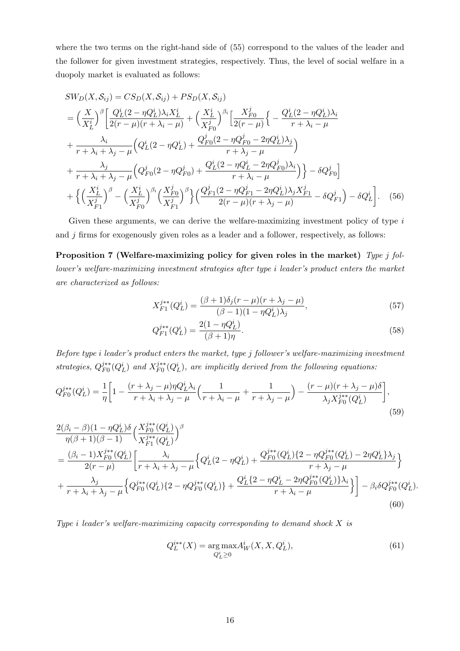where the two terms on the right-hand side of (55) correspond to the values of the leader and the follower for given investment strategies, respectively. Thus, the level of social welfare in a duopoly market is evaluated as follows:

$$
SW_D(X, S_{ij}) = CS_D(X, S_{ij}) + PS_D(X, S_{ij})
$$
  
=  $\left(\frac{X}{X_L^i}\right)^{\beta} \left[\frac{Q_L^i(2 - \eta Q_L^i)\lambda_i X_L^i}{2(r - \mu)(r + \lambda_i - \mu)} + \left(\frac{X_L^i}{X_{F0}^j}\right)^{\beta_i} \left[\frac{X_{F0}^j}{2(r - \mu)}\right\{-\frac{Q_L^i(2 - \eta Q_L^i)\lambda_i}{r + \lambda_i - \mu} + \frac{\lambda_i}{r + \lambda_i + \lambda_j - \mu} \left(Q_L^i(2 - \eta Q_L^i) + \frac{Q_{F0}^j(2 - \eta Q_{F0}^j - 2\eta Q_L^i)\lambda_j}{r + \lambda_j - \mu}\right)\right]$   
+  $\frac{\lambda_j}{r + \lambda_i + \lambda_j - \mu} \left(Q_{F0}^j(2 - \eta Q_{F0}^j) + \frac{Q_L^i(2 - \eta Q_L^i - 2\eta Q_{F0}^j)\lambda_i}{r + \lambda_i - \mu}\right)\right\} - \delta Q_{F0}^j$   
+  $\left\{\left(\frac{X_L^i}{X_{F1}^j}\right)^{\beta} - \left(\frac{X_L^i}{X_{F0}^j}\right)^{\beta_i} \left(\frac{X_{F0}^j}{X_{F1}^j}\right)^{\beta}\right\} \left(\frac{Q_{F1}^j(2 - \eta Q_{F1}^j - 2\eta Q_L^i)\lambda_j X_{F1}^j}{2(r - \mu)(r + \lambda_j - \mu)} - \delta Q_{F1}^j\right) - \delta Q_L^i$  (56)

Given these arguments, we can derive the welfare-maximizing investment policy of type  $i$ and  $j$  firms for exogenously given roles as a leader and a follower, respectively, as follows:

Proposition 7 (Welfare-maximizing policy for given roles in the market) Type j follower's welfare-maximizing investment strategies after type i leader's product enters the market are characterized as follows:

$$
X_{F1}^{j**}(Q_L^i) = \frac{(\beta + 1)\delta_j(r - \mu)(r + \lambda_j - \mu)}{(\beta - 1)(1 - \eta Q_L^i)\lambda_j},\tag{57}
$$

$$
Q_{F1}^{j**}(Q_L^i) = \frac{2(1 - \eta Q_L^i)}{(\beta + 1)\eta}.
$$
\n(58)

Before type i leader's product enters the market, type j follower's welfare-maximizing investment strategies,  $Q_{F0}^{j**}$  $j_{F0}^{j**}(Q_L^i)$  and  $X_{F0}^{j**}$  $\hat{F}_F^{j**}(Q_L^i)$ , are implicitly derived from the following equations:

$$
Q_{F0}^{j**}(Q_L^i) = \frac{1}{\eta} \bigg[ 1 - \frac{(r + \lambda_j - \mu)\eta Q_L^i \lambda_i}{r + \lambda_i + \lambda_j - \mu} \Big( \frac{1}{r + \lambda_i - \mu} + \frac{1}{r + \lambda_j - \mu} \Big) - \frac{(r - \mu)(r + \lambda_j - \mu)\delta}{\lambda_j X_{F0}^{j**}(Q_L^i)} \bigg],\tag{59}
$$

$$
\frac{2(\beta_i - \beta)(1 - \eta Q_L^i)\delta}{\eta(\beta + 1)(\beta - 1)} \left(\frac{X_{F0}^{j**}(Q_L^i)}{X_{F1}^{j**}(Q_L^i)}\right)^{\beta} \n= \frac{(\beta_i - 1)X_{F0}^{j**}(Q_L^i)}{2(r - \mu)} \left[\frac{\lambda_i}{r + \lambda_i + \lambda_j - \mu} \left\{Q_L^i(2 - \eta Q_L^i) + \frac{Q_F^{j**}(Q_L^i)\left\{2 - \eta Q_{F0}^{j**}(Q_L^i) - 2\eta Q_L^i\right\}\lambda_j}{r + \lambda_j - \mu}\right\} \right] \n+ \frac{\lambda_j}{r + \lambda_i + \lambda_j - \mu} \left\{Q_F^{j**}(Q_L^i)\left\{2 - \eta Q_{F0}^{j**}(Q_L^i)\right\} + \frac{Q_L^i\left\{2 - \eta Q_L^i - 2\eta Q_{F0}^{j**}(Q_L^i)\right\}\lambda_i}{r + \lambda_i - \mu}\right\} - \beta_i \delta Q_{F0}^{j**}(Q_L^i).
$$
\n(60)

Type i leader's welfare-maximizing capacity corresponding to demand shock X is

$$
Q_L^{i**}(X) = \underset{Q_L^i \ge 0}{\text{arg}\max} A_W^i(X, X, Q_L^i),\tag{61}
$$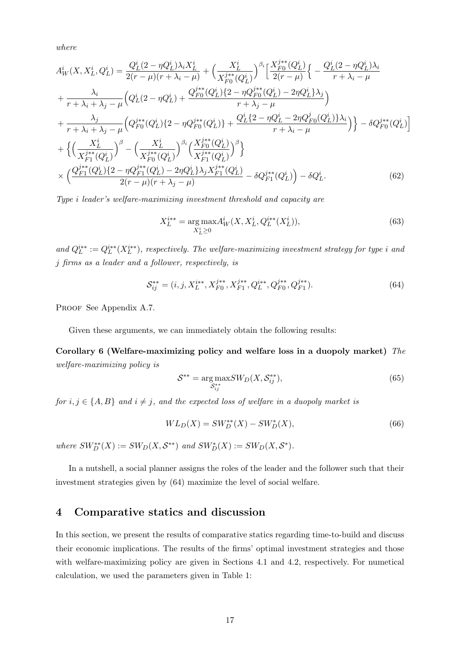where

$$
A_W^i(X, X_L^i, Q_L^i) = \frac{Q_L^i(2 - \eta Q_L^i)\lambda_i X_L^i}{2(r - \mu)(r + \lambda_i - \mu)} + \left(\frac{X_L^i}{X_{F0}^{j**}(Q_L^i)}\right)^{\beta_i} \left[\frac{X_{F0}^{j**}(Q_L^i)}{2(r - \mu)}\right\{ -\frac{Q_L^i(2 - \eta Q_L^i)\lambda_i}{r + \lambda_i - \mu} + \frac{\lambda_i}{r + \lambda_i + \lambda_j - \mu} \left(Q_L^i(2 - \eta Q_L^i) + \frac{Q_{F0}^{j**}(Q_L^i)\{2 - \eta Q_{F0}^{j**}(Q_L^i) - 2\eta Q_L^i\}\lambda_j}{r + \lambda_j - \mu}\right)
$$
  
+ 
$$
\frac{\lambda_j}{r + \lambda_i + \lambda_j - \mu} \left(Q_F^{j**}(Q_L^i)\{2 - \eta Q_{F0}^{j**}(Q_L^i)\} + \frac{Q_L^i\{2 - \eta Q_L^i - 2\eta Q_{F0}^j(Q_L^i)\}\lambda_i}{r + \lambda_i - \mu}\right)\right\} - \delta Q_{F0}^{j**}(Q_L^i)
$$
  
+ 
$$
\left\{\left(\frac{X_L^i}{X_{F1}^{j**}(Q_L^i)}\right)^{\beta} - \left(\frac{X_L^i}{X_{F0}^{j**}(Q_L^i)}\right)^{\beta_i} \left(\frac{X_{F0}^{j**}(Q_L^i)}{X_{F1}^{j**}(Q_L^i)}\right)^{\beta}\right\}
$$
  

$$
\times \left(\frac{Q_{F1}^{j**}(Q_L^i)\{2 - \eta Q_{F1}^{j**}(Q_L^i) - 2\eta Q_L^i\}\lambda_j X_{F1}^{j**}(Q_L^i)}{2(r - \mu)(r + \lambda_j - \mu)} - \delta Q_{F1}^{j**}(Q_L^i)\right) - \delta Q_L^i.
$$
 (62)

Type i leader's welfare-maximizing investment threshold and capacity are

$$
X_L^{i**} = \underset{X_L^i \ge 0}{\arg \max} A_W^i(X, X_L^i, Q_L^{i**}(X_L^i)),\tag{63}
$$

and  $Q_L^{i**} := Q_L^{i**}(X_L^{i**})$ , respectively. The welfare-maximizing investment strategy for type i and j firms as a leader and a follower, respectively, is

$$
S_{ij}^{**} = (i, j, X_L^{i**}, X_{F0}^{j**}, X_{F1}^{j**}, Q_L^{i**}, Q_{F0}^{j**}, Q_{F1}^{j**}).
$$
\n(64)

PROOF See Appendix A.7.

Given these arguments, we can immediately obtain the following results:

Corollary 6 (Welfare-maximizing policy and welfare loss in a duopoly market) The welfare-maximizing policy is

$$
\mathcal{S}^{**} = \underset{\mathcal{S}^{**}_{ij}}{\arg \max} SW_D(X, \mathcal{S}^{**}_{ij}),\tag{65}
$$

for  $i, j \in \{A, B\}$  and  $i \neq j$ , and the expected loss of welfare in a duopoly market is

$$
WL_D(X) = SW_D^{**}(X) - SW_D^{*}(X),\tag{66}
$$

where  $SW^{**}_D(X) := SW_D(X, \mathcal{S}^{**})$  and  $SW^{*}_D(X) := SW_D(X, \mathcal{S}^*)$ .

In a nutshell, a social planner assigns the roles of the leader and the follower such that their investment strategies given by (64) maximize the level of social welfare.

# 4 Comparative statics and discussion

In this section, we present the results of comparative statics regarding time-to-build and discuss their economic implications. The results of the firms' optimal investment strategies and those with welfare-maximizing policy are given in Sections 4.1 and 4.2, respectively. For numetical calculation, we used the parameters given in Table 1: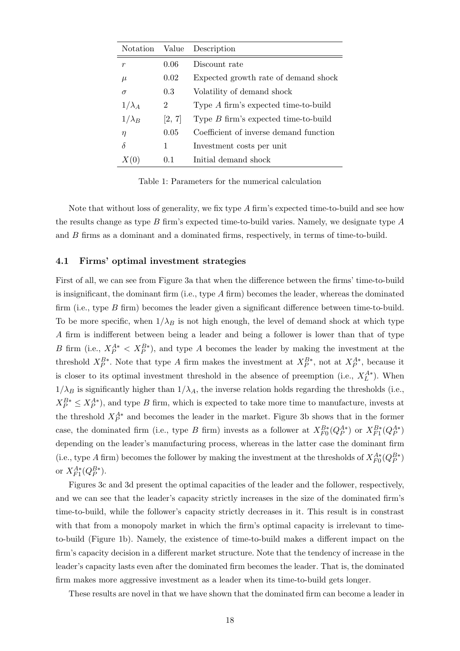| <b>Notation</b> | Value  | Description                            |
|-----------------|--------|----------------------------------------|
| r               | 0.06   | Discount rate                          |
| $\mu$           | 0.02   | Expected growth rate of demand shock   |
| $\sigma$        | 0.3    | Volatility of demand shock             |
| $1/\lambda_A$   | 2      | Type A firm's expected time-to-build   |
| $1/\lambda_B$   | [2, 7] | Type $B$ firm's expected time-to-build |
| η               | 0.05   | Coefficient of inverse demand function |
| δ               | 1      | Investment costs per unit              |
|                 | 0.1    | Initial demand shock                   |

Table 1: Parameters for the numerical calculation

Note that without loss of generality, we fix type  $A$  firm's expected time-to-build and see how the results change as type  $B$  firm's expected time-to-build varies. Namely, we designate type  $A$ and B firms as a dominant and a dominated firms, respectively, in terms of time-to-build.

#### 4.1 Firms' optimal investment strategies

First of all, we can see from Figure 3a that when the difference between the firms' time-to-build is insignificant, the dominant firm (i.e., type A firm) becomes the leader, whereas the dominated firm (i.e., type B firm) becomes the leader given a significant difference between time-to-build. To be more specific, when  $1/\lambda_B$  is not high enough, the level of demand shock at which type A firm is indifferent between being a leader and being a follower is lower than that of type B firm (i.e.,  $X_P^{A*} < X_P^{B*}$ ), and type A becomes the leader by making the investment at the threshold  $X_P^{B*}$ . Note that type A firm makes the investment at  $X_P^{B*}$ , not at  $X_P^{A*}$ , because it is closer to its optimal investment threshold in the absence of preemption (i.e.,  $X_L^{A*}$ ). When  $1/\lambda_B$  is significantly higher than  $1/\lambda_A$ , the inverse relation holds regarding the thresholds (i.e.,  $X_P^{B*} \leq X_P^{A*}$ , and type B firm, which is expected to take more time to manufacture, invests at the threshold  $X_P^{A*}$  and becomes the leader in the market. Figure 3b shows that in the former case, the dominated firm (i.e., type B firm) invests as a follower at  $X_{F0}^{B*}(Q_P^{A*})$  or  $X_{F1}^{B*}(Q_P^{A*})$ depending on the leader's manufacturing process, whereas in the latter case the dominant firm (i.e., type A firm) becomes the follower by making the investment at the thresholds of  $X_{F0}^{A*}(Q_P^{B*})$ or  $X_{F1}^{A*}(Q_P^{B*})$ .

Figures 3c and 3d present the optimal capacities of the leader and the follower, respectively, and we can see that the leader's capacity strictly increases in the size of the dominated firm's time-to-build, while the follower's capacity strictly decreases in it. This result is in constrast with that from a monopoly market in which the firm's optimal capacity is irrelevant to timeto-build (Figure 1b). Namely, the existence of time-to-build makes a different impact on the firm's capacity decision in a different market structure. Note that the tendency of increase in the leader's capacity lasts even after the dominated firm becomes the leader. That is, the dominated firm makes more aggressive investment as a leader when its time-to-build gets longer.

These results are novel in that we have shown that the dominated firm can become a leader in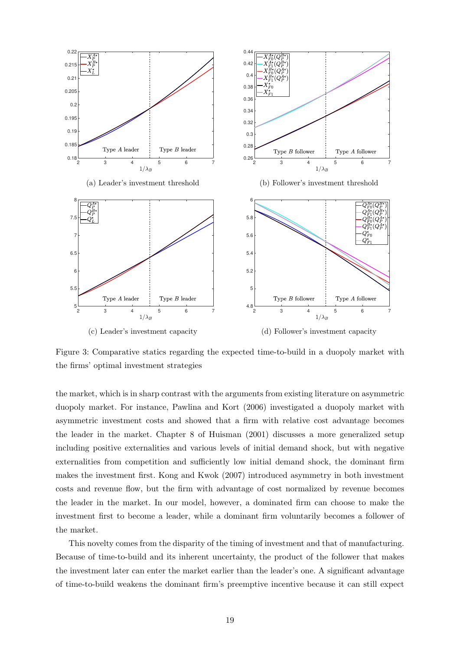

Figure 3: Comparative statics regarding the expected time-to-build in a duopoly market with the firms' optimal investment strategies

the market, which is in sharp contrast with the arguments from existing literature on asymmetric duopoly market. For instance, Pawlina and Kort (2006) investigated a duopoly market with asymmetric investment costs and showed that a firm with relative cost advantage becomes the leader in the market. Chapter 8 of Huisman (2001) discusses a more generalized setup including positive externalities and various levels of initial demand shock, but with negative externalities from competition and sufficiently low initial demand shock, the dominant firm makes the investment first. Kong and Kwok (2007) introduced asymmetry in both investment costs and revenue flow, but the firm with advantage of cost normalized by revenue becomes the leader in the market. In our model, however, a dominated firm can choose to make the investment first to become a leader, while a dominant firm voluntarily becomes a follower of the market.

This novelty comes from the disparity of the timing of investment and that of manufacturing. Because of time-to-build and its inherent uncertainty, the product of the follower that makes the investment later can enter the market earlier than the leader's one. A significant advantage of time-to-build weakens the dominant firm's preemptive incentive because it can still expect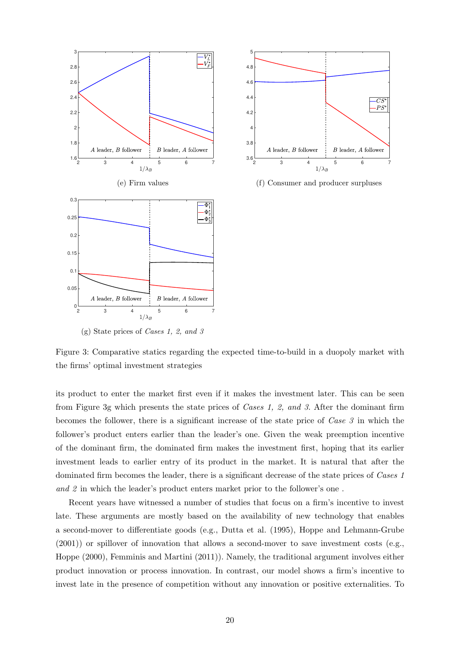

the firms' optimal investment strategies



(f) Consumer and producer surpluses

Figure 3: Comparative statics regarding the expected time-to-build in a duopoly market with

its product to enter the market first even if it makes the investment later. This can be seen from Figure 3g which presents the state prices of Cases 1, 2, and 3. After the dominant firm becomes the follower, there is a significant increase of the state price of Case 3 in which the follower's product enters earlier than the leader's one. Given the weak preemption incentive of the dominant firm, the dominated firm makes the investment first, hoping that its earlier investment leads to earlier entry of its product in the market. It is natural that after the dominated firm becomes the leader, there is a significant decrease of the state prices of Cases 1 and 2 in which the leader's product enters market prior to the follower's one .

Recent years have witnessed a number of studies that focus on a firm's incentive to invest late. These arguments are mostly based on the availability of new technology that enables a second-mover to differentiate goods (e.g., Dutta et al. (1995), Hoppe and Lehmann-Grube (2001)) or spillover of innovation that allows a second-mover to save investment costs (e.g., Hoppe (2000), Femminis and Martini (2011)). Namely, the traditional argument involves either product innovation or process innovation. In contrast, our model shows a firm's incentive to invest late in the presence of competition without any innovation or positive externalities. To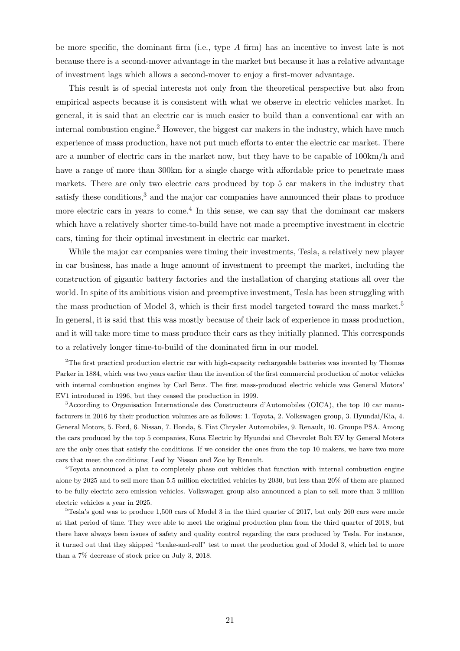be more specific, the dominant firm (i.e., type A firm) has an incentive to invest late is not because there is a second-mover advantage in the market but because it has a relative advantage of investment lags which allows a second-mover to enjoy a first-mover advantage.

This result is of special interests not only from the theoretical perspective but also from empirical aspects because it is consistent with what we observe in electric vehicles market. In general, it is said that an electric car is much easier to build than a conventional car with an internal combustion engine.<sup>2</sup> However, the biggest car makers in the industry, which have much experience of mass production, have not put much efforts to enter the electric car market. There are a number of electric cars in the market now, but they have to be capable of 100km/h and have a range of more than 300km for a single charge with affordable price to penetrate mass markets. There are only two electric cars produced by top 5 car makers in the industry that satisfy these conditions,<sup>3</sup> and the major car companies have announced their plans to produce more electric cars in years to come.<sup>4</sup> In this sense, we can say that the dominant car makers which have a relatively shorter time-to-build have not made a preemptive investment in electric cars, timing for their optimal investment in electric car market.

While the major car companies were timing their investments, Tesla, a relatively new player in car business, has made a huge amount of investment to preempt the market, including the construction of gigantic battery factories and the installation of charging stations all over the world. In spite of its ambitious vision and preemptive investment, Tesla has been struggling with the mass production of Model 3, which is their first model targeted toward the mass market.<sup>5</sup> In general, it is said that this was mostly because of their lack of experience in mass production, and it will take more time to mass produce their cars as they initially planned. This corresponds to a relatively longer time-to-build of the dominated firm in our model.

<sup>&</sup>lt;sup>2</sup>The first practical production electric car with high-capacity rechargeable batteries was invented by Thomas Parker in 1884, which was two years earlier than the invention of the first commercial production of motor vehicles with internal combustion engines by Carl Benz. The first mass-produced electric vehicle was General Motors' EV1 introduced in 1996, but they ceased the production in 1999.

<sup>3</sup>According to Organisation Internationale des Constructeurs d'Automobiles (OICA), the top 10 car manufacturers in 2016 by their production volumes are as follows: 1. Toyota, 2. Volkswagen group, 3. Hyundai/Kia, 4. General Motors, 5. Ford, 6. Nissan, 7. Honda, 8. Fiat Chrysler Automobiles, 9. Renault, 10. Groupe PSA. Among the cars produced by the top 5 companies, Kona Electric by Hyundai and Chevrolet Bolt EV by General Moters are the only ones that satisfy the conditions. If we consider the ones from the top 10 makers, we have two more cars that meet the conditions; Leaf by Nissan and Zoe by Renault.

<sup>4</sup>Toyota announced a plan to completely phase out vehicles that function with internal combustion engine alone by 2025 and to sell more than 5.5 million electrified vehicles by 2030, but less than 20% of them are planned to be fully-electric zero-emission vehicles. Volkswagen group also announced a plan to sell more than 3 million electric vehicles a year in 2025.

 $5$ Tesla's goal was to produce 1,500 cars of Model 3 in the third quarter of 2017, but only 260 cars were made at that period of time. They were able to meet the original production plan from the third quarter of 2018, but there have always been issues of safety and quality control regarding the cars produced by Tesla. For instance, it turned out that they skipped "brake-and-roll" test to meet the production goal of Model 3, which led to more than a 7% decrease of stock price on July 3, 2018.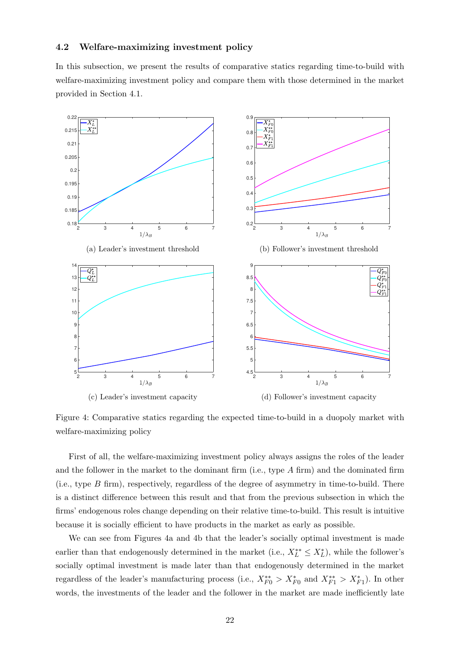#### 4.2 Welfare-maximizing investment policy

In this subsection, we present the results of comparative statics regarding time-to-build with welfare-maximizing investment policy and compare them with those determined in the market provided in Section 4.1.



Figure 4: Comparative statics regarding the expected time-to-build in a duopoly market with welfare-maximizing policy

First of all, the welfare-maximizing investment policy always assigns the roles of the leader and the follower in the market to the dominant firm (i.e., type  $A$  firm) and the dominated firm (i.e., type  $B$  firm), respectively, regardless of the degree of asymmetry in time-to-build. There is a distinct difference between this result and that from the previous subsection in which the firms' endogenous roles change depending on their relative time-to-build. This result is intuitive because it is socially efficient to have products in the market as early as possible.

We can see from Figures 4a and 4b that the leader's socially optimal investment is made earlier than that endogenously determined in the market (i.e.,  $X_L^{**} \leq X_L^*$ ), while the follower's socially optimal investment is made later than that endogenously determined in the market regardless of the leader's manufacturing process (i.e.,  $X_{F0}^{**} > X_{F0}^*$  and  $X_{F1}^{**} > X_{F1}^*$ ). In other words, the investments of the leader and the follower in the market are made inefficiently late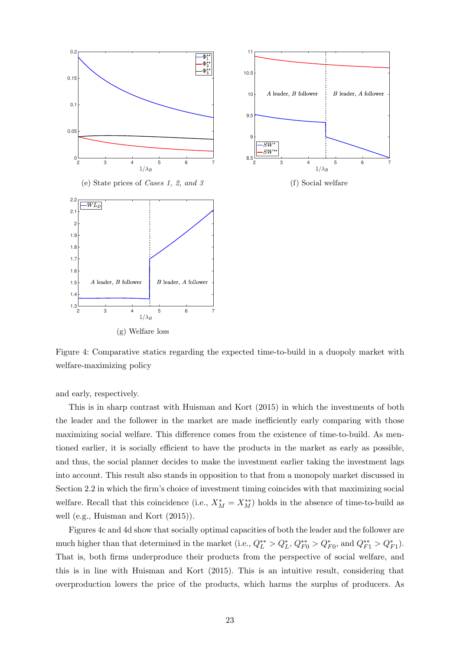

Figure 4: Comparative statics regarding the expected time-to-build in a duopoly market with welfare-maximizing policy

and early, respectively.

This is in sharp contrast with Huisman and Kort (2015) in which the investments of both the leader and the follower in the market are made inefficiently early comparing with those maximizing social welfare. This difference comes from the existence of time-to-build. As mentioned earlier, it is socially efficient to have the products in the market as early as possible, and thus, the social planner decides to make the investment earlier taking the investment lags into account. This result also stands in opposition to that from a monopoly market discussed in Section 2.2 in which the firm's choice of investment timing coincides with that maximizing social welfare. Recall that this coincidence (i.e.,  $X_M^* = X_M^{**}$ ) holds in the absence of time-to-build as well (e.g., Huisman and Kort (2015)).

Figures 4c and 4d show that socially optimal capacities of both the leader and the follower are much higher than that determined in the market (i.e.,  $Q_L^{**} > Q_L^*$ ,  $Q_{F0}^{**} > Q_{F0}^*$ , and  $Q_{F1}^{**} > Q_{F1}^*$ ). That is, both firms underproduce their products from the perspective of social welfare, and this is in line with Huisman and Kort (2015). This is an intuitive result, considering that overproduction lowers the price of the products, which harms the surplus of producers. As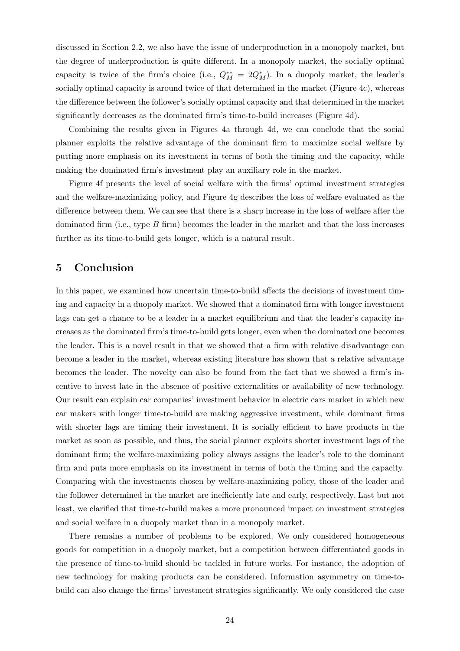discussed in Section 2.2, we also have the issue of underproduction in a monopoly market, but the degree of underproduction is quite different. In a monopoly market, the socially optimal capacity is twice of the firm's choice (i.e.,  $Q_M^{**} = 2Q_M^*$ ). In a duopoly market, the leader's socially optimal capacity is around twice of that determined in the market (Figure 4c), whereas the difference between the follower's socially optimal capacity and that determined in the market significantly decreases as the dominated firm's time-to-build increases (Figure 4d).

Combining the results given in Figures 4a through 4d, we can conclude that the social planner exploits the relative advantage of the dominant firm to maximize social welfare by putting more emphasis on its investment in terms of both the timing and the capacity, while making the dominated firm's investment play an auxiliary role in the market.

Figure 4f presents the level of social welfare with the firms' optimal investment strategies and the welfare-maximizing policy, and Figure 4g describes the loss of welfare evaluated as the difference between them. We can see that there is a sharp increase in the loss of welfare after the dominated firm (i.e., type  $B$  firm) becomes the leader in the market and that the loss increases further as its time-to-build gets longer, which is a natural result.

# 5 Conclusion

In this paper, we examined how uncertain time-to-build affects the decisions of investment timing and capacity in a duopoly market. We showed that a dominated firm with longer investment lags can get a chance to be a leader in a market equilibrium and that the leader's capacity increases as the dominated firm's time-to-build gets longer, even when the dominated one becomes the leader. This is a novel result in that we showed that a firm with relative disadvantage can become a leader in the market, whereas existing literature has shown that a relative advantage becomes the leader. The novelty can also be found from the fact that we showed a firm's incentive to invest late in the absence of positive externalities or availability of new technology. Our result can explain car companies' investment behavior in electric cars market in which new car makers with longer time-to-build are making aggressive investment, while dominant firms with shorter lags are timing their investment. It is socially efficient to have products in the market as soon as possible, and thus, the social planner exploits shorter investment lags of the dominant firm; the welfare-maximizing policy always assigns the leader's role to the dominant firm and puts more emphasis on its investment in terms of both the timing and the capacity. Comparing with the investments chosen by welfare-maximizing policy, those of the leader and the follower determined in the market are inefficiently late and early, respectively. Last but not least, we clarified that time-to-build makes a more pronounced impact on investment strategies and social welfare in a duopoly market than in a monopoly market.

There remains a number of problems to be explored. We only considered homogeneous goods for competition in a duopoly market, but a competition between differentiated goods in the presence of time-to-build should be tackled in future works. For instance, the adoption of new technology for making products can be considered. Information asymmetry on time-tobuild can also change the firms' investment strategies significantly. We only considered the case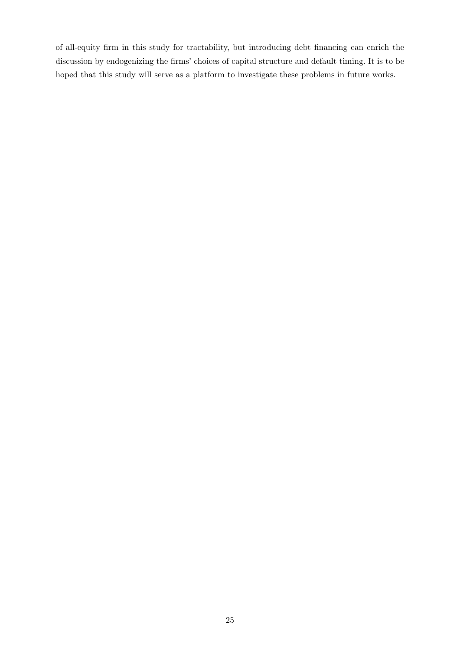of all-equity firm in this study for tractability, but introducing debt financing can enrich the discussion by endogenizing the firms' choices of capital structure and default timing. It is to be hoped that this study will serve as a platform to investigate these problems in future works.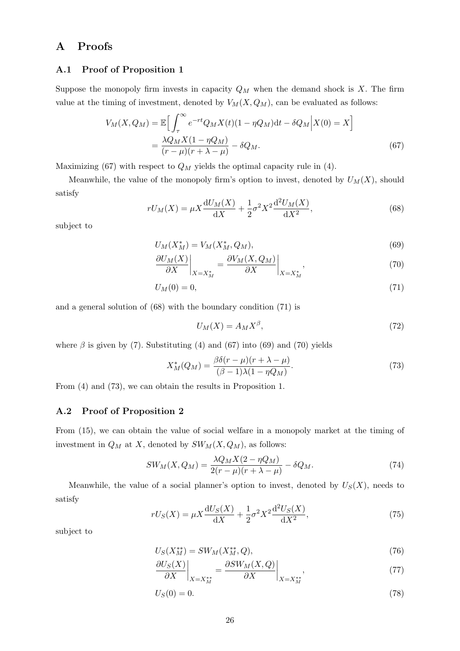# A Proofs

#### A.1 Proof of Proposition 1

Suppose the monopoly firm invests in capacity  $Q_M$  when the demand shock is X. The firm value at the timing of investment, denoted by  $V_M(X, Q_M)$ , can be evaluated as follows:

$$
V_M(X, Q_M) = \mathbb{E}\Big[\int_{\tau}^{\infty} e^{-rt} Q_M X(t) (1 - \eta Q_M) dt - \delta Q_M \Big| X(0) = X\Big]
$$
  
= 
$$
\frac{\lambda Q_M X(1 - \eta Q_M)}{(r - \mu)(r + \lambda - \mu)} - \delta Q_M.
$$
 (67)

Maximizing (67) with respect to  $Q_M$  yields the optimal capacity rule in (4).

Meanwhile, the value of the monopoly firm's option to invest, denoted by  $U_M(X)$ , should satisfy

$$
rU_M(X) = \mu X \frac{dU_M(X)}{dX} + \frac{1}{2}\sigma^2 X^2 \frac{d^2 U_M(X)}{dX^2},
$$
\n(68)

subject to

$$
U_M(X_M^*) = V_M(X_M^*, Q_M),\tag{69}
$$

$$
\left. \frac{\partial U_M(X)}{\partial X} \right|_{X=X_M^*} = \left. \frac{\partial V_M(X, Q_M)}{\partial X} \right|_{X=X_M^*},\tag{70}
$$

$$
U_M(0) = 0,\t\t(71)
$$

and a general solution of (68) with the boundary condition (71) is

$$
U_M(X) = A_M X^{\beta},\tag{72}
$$

where  $\beta$  is given by (7). Substituting (4) and (67) into (69) and (70) yields

$$
X_M^*(Q_M) = \frac{\beta \delta(r - \mu)(r + \lambda - \mu)}{(\beta - 1)\lambda(1 - \eta Q_M)}.
$$
\n(73)

From (4) and (73), we can obtain the results in Proposition 1.

## A.2 Proof of Proposition 2

From (15), we can obtain the value of social welfare in a monopoly market at the timing of investment in  $Q_M$  at X, denoted by  $SW_M(X, Q_M)$ , as follows:

$$
SW_M(X, Q_M) = \frac{\lambda Q_M X (2 - \eta Q_M)}{2(r - \mu)(r + \lambda - \mu)} - \delta Q_M.
$$
\n(74)

Meanwhile, the value of a social planner's option to invest, denoted by  $U_S(X)$ , needs to satisfy

$$
rU_S(X) = \mu X \frac{dU_S(X)}{dX} + \frac{1}{2}\sigma^2 X^2 \frac{d^2 U_S(X)}{dX^2},\tag{75}
$$

subject to

$$
U_S(X_M^{**}) = SW_M(X_M^{**}, Q), \tag{76}
$$

$$
\left. \frac{\partial U_S(X)}{\partial X} \right|_{X=X_M^{**}} = \left. \frac{\partial SW_M(X, Q)}{\partial X} \right|_{X=X_M^{**}},\tag{77}
$$

$$
U_S(0) = 0.\t\t(78)
$$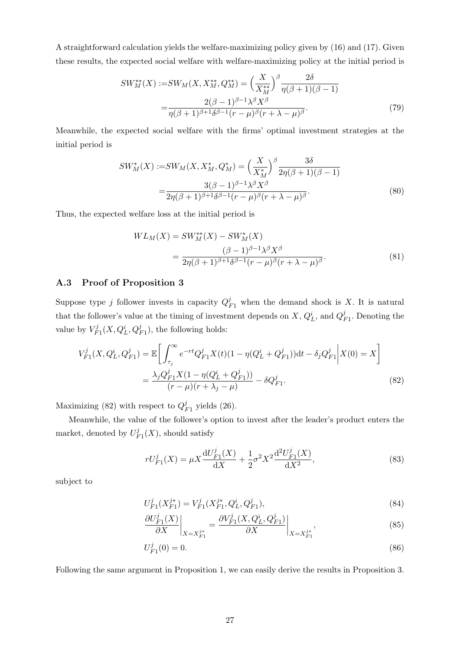A straightforward calculation yields the welfare-maximizing policy given by (16) and (17). Given these results, the expected social welfare with welfare-maximizing policy at the initial period is

$$
SW_M^{**}(X) := SW_M(X, X_M^{**}, Q_M^{**}) = \left(\frac{X}{X_M^{**}}\right)^{\beta} \frac{2\delta}{\eta(\beta+1)(\beta-1)}
$$

$$
= \frac{2(\beta-1)^{\beta-1}\lambda^{\beta}X^{\beta}}{\eta(\beta+1)^{\beta+1}\delta^{\beta-1}(r-\mu)^{\beta}(r+\lambda-\mu)^{\beta}}.
$$
(79)

Meanwhile, the expected social welfare with the firms' optimal investment strategies at the initial period is

$$
SW_M^*(X) := SW_M(X, X_M^*, Q_M^*) = \left(\frac{X}{X_M^*}\right)^{\beta} \frac{3\delta}{2\eta(\beta+1)(\beta-1)} = \frac{3(\beta-1)^{\beta-1}\lambda^{\beta}X^{\beta}}{2\eta(\beta+1)^{\beta+1}\delta^{\beta-1}(r-\mu)^{\beta}(r+\lambda-\mu)^{\beta}}.
$$
(80)

Thus, the expected welfare loss at the initial period is

$$
WL_M(X) = SW_M^{**}(X) - SW_M^*(X)
$$
  
= 
$$
\frac{(\beta - 1)^{\beta - 1} \lambda^{\beta} X^{\beta}}{2\eta(\beta + 1)^{\beta + 1} \delta^{\beta - 1} (r - \mu)^{\beta} (r + \lambda - \mu)^{\beta}}.
$$
 (81)

## A.3 Proof of Proposition 3

Suppose type j follower invests in capacity  $Q_{F1}^j$  when the demand shock is X. It is natural that the follower's value at the timing of investment depends on  $X, Q_L^i$ , and  $Q_L^j$  $_{F1}^J$ . Denoting the value by  $V_F^j$  $F_I^j(X, Q_L^i, Q_{F1}^j)$ , the following holds:

$$
V_{F1}^{j}(X, Q_{L}^{i}, Q_{F1}^{j}) = \mathbb{E}\bigg[\int_{\tau_{j}}^{\infty} e^{-rt} Q_{F1}^{j} X(t) (1 - \eta (Q_{L}^{i} + Q_{F1}^{j})) dt - \delta_{j} Q_{F1}^{j} \bigg| X(0) = X\bigg]
$$

$$
= \frac{\lambda_{j} Q_{F1}^{j} X (1 - \eta (Q_{L}^{i} + Q_{F1}^{j}))}{(r - \mu)(r + \lambda_{j} - \mu)} - \delta Q_{F1}^{j}.
$$
(82)

Maximizing (82) with respect to  $Q_l^j$  $_{F1}^{j}$  yields (26).

Meanwhile, the value of the follower's option to invest after the leader's product enters the market, denoted by  $U_{\mu}^{j}$  $\iota_{F_1}^j(X)$ , should satisfy

$$
rU_{F1}^{j}(X) = \mu X \frac{\mathrm{d}U_{F1}^{j}(X)}{\mathrm{d}X} + \frac{1}{2}\sigma^{2} X^{2} \frac{\mathrm{d}^{2}U_{F1}^{j}(X)}{\mathrm{d}X^{2}},\tag{83}
$$

subject to

$$
U_{F1}^j(X_{F1}^{j*}) = V_{F1}^j(X_{F1}^{j*}, Q_L^i, Q_{F1}^j),\tag{84}
$$

$$
\frac{\partial U_{F1}^{j}(X)}{\partial X}\bigg|_{X=X_{F1}^{j*}} = \frac{\partial V_{F1}^{j}(X, Q_{L}^{i}, Q_{F1}^{j})}{\partial X}\bigg|_{X=X_{F1}^{j*}},\tag{85}
$$

$$
U_{F1}^{j}(0) = 0.\t\t(86)
$$

Following the same argument in Proposition 1, we can easily derive the results in Proposition 3.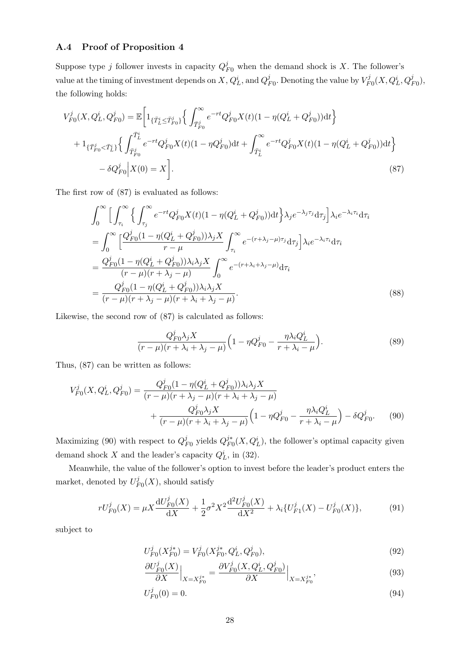## A.4 Proof of Proposition 4

Suppose type j follower invests in capacity  $Q_{F0}^j$  when the demand shock is X. The follower's value at the timing of investment depends on  $X, Q_L^i$ , and  $Q_I^j$  $j_{F0}$ . Denoting the value by  $V_F^j$  $V_{F0}^{j}(X,Q_{L}^{i},Q_{F0}^{j}),$ the following holds:

$$
V_{F0}^{j}(X, Q_{L}^{i}, Q_{F0}^{j}) = \mathbb{E}\left[1_{\{\bar{T}_{L}^{i} \leq \bar{T}_{F0}^{j}\}}\left\{\int_{\bar{T}_{F0}^{j}}^{\infty} e^{-rt} Q_{F0}^{j} X(t) (1 - \eta(Q_{L}^{i} + Q_{F0}^{j})) dt\right\}\right] + 1_{\{\bar{T}_{F0}^{j} < \bar{T}_{L}^{i}\}}\left\{\int_{\bar{T}_{F0}^{j}}^{\bar{T}_{L}^{i}} e^{-rt} Q_{F0}^{j} X(t) (1 - \eta Q_{F0}^{j}) dt + \int_{\bar{T}_{L}^{i}}^{\infty} e^{-rt} Q_{F0}^{j} X(t) (1 - \eta(Q_{L}^{i} + Q_{F0}^{j})) dt\right\} - \delta Q_{F0}^{j} | X(0) = X\right].
$$
\n(87)

The first row of (87) is evaluated as follows:

$$
\int_{0}^{\infty} \Big[ \int_{\tau_{i}}^{\infty} \Big\{ \int_{\tau_{j}}^{\infty} e^{-rt} Q_{F0}^{j} X(t) (1 - \eta (Q_{L}^{i} + Q_{F0}^{j})) dt \Big\} \lambda_{j} e^{-\lambda_{j} \tau_{j}} d\tau_{j} \Big] \lambda_{i} e^{-\lambda_{i} \tau_{i}} d\tau_{i}
$$
\n
$$
= \int_{0}^{\infty} \Big[ \frac{Q_{F0}^{j} (1 - \eta (Q_{L}^{i} + Q_{F0}^{j})) \lambda_{j} X}{r - \mu} \int_{\tau_{i}}^{\infty} e^{-(r + \lambda_{j} - \mu) \tau_{j}} d\tau_{j} \Big] \lambda_{i} e^{-\lambda_{i} \tau_{i}} d\tau_{i}
$$
\n
$$
= \frac{Q_{F0}^{j} (1 - \eta (Q_{L}^{i} + Q_{F0}^{j})) \lambda_{i} \lambda_{j} X}{(r - \mu)(r + \lambda_{j} - \mu)} \int_{0}^{\infty} e^{-(r + \lambda_{i} + \lambda_{j} - \mu)} d\tau_{i}
$$
\n
$$
= \frac{Q_{F0}^{j} (1 - \eta (Q_{L}^{i} + Q_{F0}^{j})) \lambda_{i} \lambda_{j} X}{(r - \mu)(r + \lambda_{j} - \mu)(r + \lambda_{i} + \lambda_{j} - \mu)} . \tag{88}
$$

Likewise, the second row of (87) is calculated as follows:

$$
\frac{Q_{F0}^j \lambda_j X}{(r-\mu)(r+\lambda_i+\lambda_j-\mu)} \Big(1-\eta Q_{F0}^j - \frac{\eta \lambda_i Q_L^i}{r+\lambda_i-\mu}\Big). \tag{89}
$$

Thus, (87) can be written as follows:

$$
V_{F0}^{j}(X, Q_{L}^{i}, Q_{F0}^{j}) = \frac{Q_{F0}^{j}(1 - \eta(Q_{L}^{i} + Q_{F0}^{j}))\lambda_{i}\lambda_{j}X}{(r - \mu)(r + \lambda_{j} - \mu)(r + \lambda_{i} + \lambda_{j} - \mu)} + \frac{Q_{F0}^{j}\lambda_{j}X}{(r - \mu)(r + \lambda_{i} + \lambda_{j} - \mu)} \left(1 - \eta Q_{F0}^{j} - \frac{\eta\lambda_{i}Q_{L}^{i}}{r + \lambda_{i} - \mu}\right) - \delta Q_{F0}^{j}.
$$
 (90)

Maximizing (90) with respect to  $Q_l^j$  $I_{F0}^j$  yields  $Q_{F0}^{j*}$  $\frac{j^*}{F_0}(X, Q_L^i)$ , the follower's optimal capacity given demand shock X and the leader's capacity  $Q_L^i$ , in (32).

Meanwhile, the value of the follower's option to invest before the leader's product enters the market, denoted by  $U_F^j$  $P_{F0}(X)$ , should satisfy

$$
rU_{F0}^{j}(X) = \mu X \frac{\mathrm{d}U_{F0}^{j}(X)}{\mathrm{d}X} + \frac{1}{2}\sigma^{2} X^{2} \frac{\mathrm{d}^{2}U_{F0}^{j}(X)}{\mathrm{d}X^{2}} + \lambda_{i} \{U_{F1}^{j}(X) - U_{F0}^{j}(X)\},\tag{91}
$$

subject to

$$
U_{F0}^{j}(X_{F0}^{j*}) = V_{F0}^{j}(X_{F0}^{j*}, Q_{L}^{i}, Q_{F0}^{j}),
$$
\n(92)

$$
\frac{\partial U_{F0}^{j}(X)}{\partial X}\Big|_{X=X_{F0}^{j*}} = \frac{\partial V_{F0}^{j}(X, Q_{L}^{i}, Q_{F0}^{j})}{\partial X}\Big|_{X=X_{F0}^{j*}},
$$
\n(93)

$$
U_{F0}^{j}(0) = 0.\t\t(94)
$$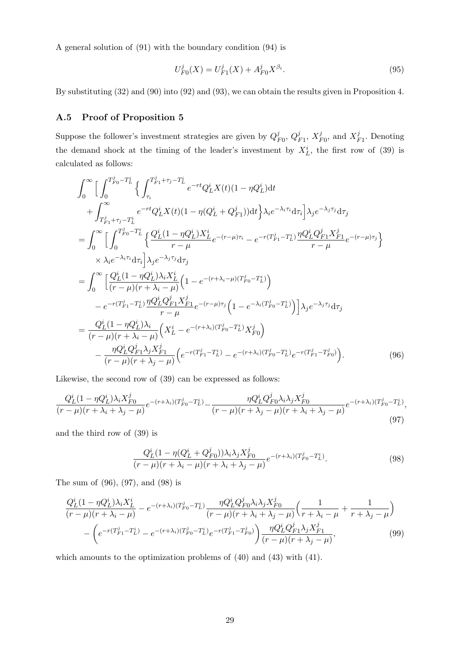A general solution of (91) with the boundary condition (94) is

$$
U_{F0}^{j}(X) = U_{F1}^{j}(X) + A_{F0}^{j} X^{\beta_{i}}.
$$
\n(95)

By substituting (32) and (90) into (92) and (93), we can obtain the results given in Proposition 4.

#### A.5 Proof of Proposition 5

Suppose the follower's investment strategies are given by  $Q_I^j$  $^j_{F0},\,Q^j_{I}$  $_{F1}^{j},\,X_{I}^{j}$  $\frac{j}{F0}$ , and  $X_I^j$  $\frac{J}{F1}$ . Denoting the demand shock at the timing of the leader's investment by  $X_L^i$ , the first row of (39) is calculated as follows:

$$
\int_{0}^{\infty} \Big[ \int_{0}^{T_{F0}^{j} - T_{L}^{i}} \Big\{ \int_{\tau_{i}}^{T_{F1}^{j} + \tau_{j} - T_{L}^{i}} e^{-rt} Q_{L}^{i} X(t) (1 - \eta Q_{L}^{i}) dt \n+ \int_{T_{F1}^{j} + \tau_{j} - T_{L}^{i}}^{ \infty} e^{-rt} Q_{L}^{i} X(t) (1 - \eta (Q_{L}^{i} + Q_{F1}^{j})) dt \Big\} \lambda_{i} e^{-\lambda_{i} \tau_{i}} d\tau_{i} \Big] \lambda_{j} e^{-\lambda_{j} \tau_{j}} d\tau_{j} \n= \int_{0}^{\infty} \Big[ \int_{0}^{T_{F0}^{j} - T_{L}^{i}} \Big\{ \frac{Q_{L}^{i} (1 - \eta Q_{L}^{i}) X_{L}^{i}}{r - \mu} e^{-(r - \mu) \tau_{i}} - e^{-r (T_{F1}^{j} - T_{L}^{i})} \frac{\eta Q_{L}^{i} Q_{F1}^{j} X_{F1}^{j}}{r - \mu} e^{-(r - \mu) \tau_{j}} \Big\} \n\times \lambda_{i} e^{-\lambda_{i} \tau_{i}} d\tau_{i} \Big] \lambda_{j} e^{-\lambda_{j} \tau_{j}} d\tau_{j} \n= \int_{0}^{\infty} \Big[ \frac{Q_{L}^{i} (1 - \eta Q_{L}^{i}) \lambda_{i} X_{L}^{i}}{(r - \mu)(r + \lambda_{i} - \mu)} \Big( 1 - e^{-(r + \lambda_{i} - \mu)(T_{F0}^{j} - T_{L}^{i})} \Big) \n- e^{-r (T_{F1}^{j} - T_{L}^{i})} \frac{\eta Q_{L}^{i} Q_{F1}^{j} X_{F1}^{j}}{r - \mu} e^{-(r - \mu) \tau_{j}} \Big( 1 - e^{-\lambda_{i} (T_{F0}^{j} - T_{L}^{i})} \Big) \Big] \lambda_{j} e^{-\lambda_{j} \tau_{j}} d\tau_{j} \n= \frac{Q_{L}^{i} (1 - \eta Q_{L}^{i}) \lambda_{i}}{(r - \mu)(r + \lambda_{i} - \mu)} \Big( X_{L}^{i} - e^{-(r + \lambda_{i}) (T_{F0}^{j
$$

Likewise, the second row of (39) can be expressed as follows:

$$
\frac{Q_L^i (1 - \eta Q_L^i) \lambda_i X_{F0}^j}{(r - \mu)(r + \lambda_i + \lambda_j - \mu)} e^{-(r + \lambda_i)(T_{F0}^j - T_L^i)} - \frac{\eta Q_L^i Q_{F0}^j \lambda_i \lambda_j X_{F0}^j}{(r - \mu)(r + \lambda_j - \mu)(r + \lambda_i + \lambda_j - \mu)} e^{-(r + \lambda_i)(T_{F0}^j - T_L^i)},
$$
\n(97)

and the third row of (39) is

$$
\frac{Q_L^i (1 - \eta (Q_L^i + Q_{F0}^j)) \lambda_i \lambda_j X_{F0}^j}{(r - \mu)(r + \lambda_i - \mu)(r + \lambda_i + \lambda_j - \mu)} e^{-(r + \lambda_i)(T_{F0}^j - T_L^i)}.
$$
\n(98)

The sum of (96), (97), and (98) is

$$
\frac{Q_L^i (1 - \eta Q_L^i) \lambda_i X_L^i}{(r - \mu)(r + \lambda_i - \mu)} - e^{-(r + \lambda_i)(T_{F0}^j - T_L^i)} \frac{\eta Q_L^i Q_{F0}^j \lambda_i \lambda_j X_{F0}^j}{(r - \mu)(r + \lambda_i + \lambda_j - \mu)} \left(\frac{1}{r + \lambda_i - \mu} + \frac{1}{r + \lambda_j - \mu}\right) - \left(e^{-r(T_{F1}^j - T_L^i)} - e^{-(r + \lambda_i)(T_{F0}^j - T_L^i)} e^{-r(T_{F1}^j - T_{F0}^j)}\right) \frac{\eta Q_L^i Q_{F1}^j \lambda_j X_{F1}^j}{(r - \mu)(r + \lambda_j - \mu)},
$$
\n(99)

which amounts to the optimization problems of  $(40)$  and  $(43)$  with  $(41)$ .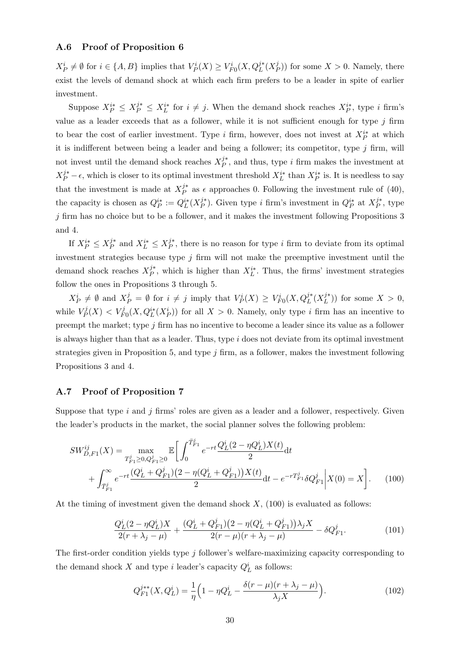## A.6 Proof of Proposition 6

 $X_P^i \neq \emptyset$  for  $i \in \{A, B\}$  implies that  $V_P^i(X) \geq V_{F0}^i(X, Q_L^{j*}(X_P^j))$  $(P<sup>j</sup>)$  for some  $X > 0$ . Namely, there exist the levels of demand shock at which each firm prefers to be a leader in spite of earlier investment.

Suppose  $X_P^{i*} \leq X_P^{j*} \leq X_L^{i*}$  for  $i \neq j$ . When the demand shock reaches  $X_P^{i*}$ , type i firm's value as a leader exceeds that as a follower, while it is not sufficient enough for type  $j$  firm to bear the cost of earlier investment. Type i firm, however, does not invest at  $X_P^{i*}$  at which it is indifferent between being a leader and being a follower; its competitor, type  $j$  firm, will not invest until the demand shock reaches  $X_P^{j*}$  $j^*$ , and thus, type i firm makes the investment at  $X_P^{j*} - \epsilon$ , which is closer to its optimal investment threshold  $X_L^{i*}$  than  $X_P^{i*}$  is. It is needless to say that the investment is made at  $X_P^{j*}$  $j^*$  as  $\epsilon$  approaches 0. Following the investment rule of (40), the capacity is chosen as  $Q_P^{i*} := Q_L^{i*}(X_P^{j*})$  $j^*$ ). Given type *i* firm's investment in  $Q_P^{i*}$  at  $X_P^{j*}$  $P^*$ , type  $j$  firm has no choice but to be a follower, and it makes the investment following Propositions 3 and 4.

If  $X_P^{i*} \leq X_P^{j*}$  $j^*$ <sub>P</sub> and  $X^{i*}_L$  ≤  $X^{j*}_P$  $j^*$ , there is no reason for type i firm to deviate from its optimal investment strategies because type  $j$  firm will not make the preemptive investment until the demand shock reaches  $X_P^{j*}$  $j^*$ , which is higher than  $X_L^{i*}$ . Thus, the firms' investment strategies follow the ones in Propositions 3 through 5.

 $X_P^i \neq \emptyset$  and  $X_P^j = \emptyset$  for  $i \neq j$  imply that  $V_P^i(X) \geq V_{F0}^i(X, Q_L^{j*}(X_L^{j*}))$  $\binom{\jmath^{*}}{L}$ ) for some  $X > 0$ , while  $V_P^j$  $P_P^{f}(X) < V_{F0}^j(X, Q_L^{i*}(X_P^i))$  for all  $X > 0$ . Namely, only type i firm has an incentive to preempt the market; type j firm has no incentive to become a leader since its value as a follower is always higher than that as a leader. Thus, type  $i$  does not deviate from its optimal investment strategies given in Proposition 5, and type  $j$  firm, as a follower, makes the investment following Propositions 3 and 4.

#### A.7 Proof of Proposition 7

Suppose that type  $i$  and  $j$  firms' roles are given as a leader and a follower, respectively. Given the leader's products in the market, the social planner solves the following problem:

$$
SW_{D,F1}^{ij}(X) = \max_{T_{F1}^{j} \ge 0, Q_{F1}^{j} \ge 0} \mathbb{E}\bigg[\int_0^{\bar{T}_{F1}^{j}} e^{-rt} \frac{Q_L^{i}(2 - \eta Q_L^{i})X(t)}{2} dt + \int_{\bar{T}_{F1}^{j}}^{\infty} e^{-rt} \frac{(Q_L^{i} + Q_{F1}^{j})(2 - \eta (Q_L^{i} + Q_{F1}^{j}))X(t)}{2} dt - e^{-rT_{F1}^{j}} \delta Q_{F1}^{j}\bigg|X(0) = X\bigg].
$$
 (100)

At the timing of investment given the demand shock  $X$ , (100) is evaluated as follows:

$$
\frac{Q_L^i (2 - \eta Q_L^i) X}{2(r + \lambda_j - \mu)} + \frac{(Q_L^i + Q_{F1}^j)(2 - \eta (Q_L^i + Q_{F1}^j))\lambda_j X}{2(r - \mu)(r + \lambda_j - \mu)} - \delta Q_{F1}^j.
$$
\n(101)

The first-order condition yields type j follower's welfare-maximizing capacity corresponding to the demand shock X and type *i* leader's capacity  $Q_L^i$  as follows:

$$
Q_{F1}^{j**}(X, Q_L^i) = \frac{1}{\eta} \Big( 1 - \eta Q_L^i - \frac{\delta(r - \mu)(r + \lambda_j - \mu)}{\lambda_j X} \Big). \tag{102}
$$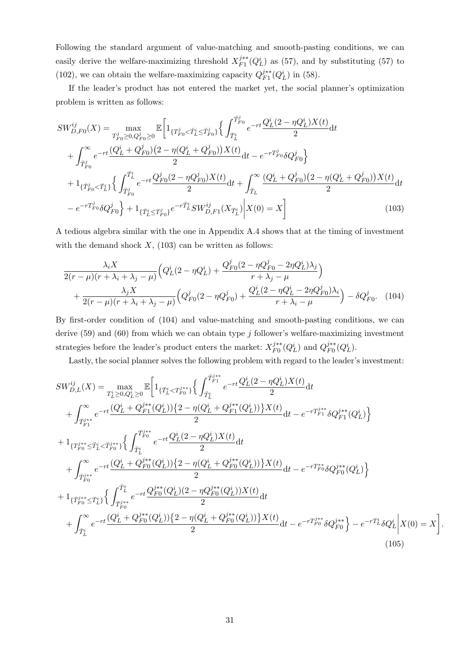Following the standard argument of value-matching and smooth-pasting conditions, we can easily derive the welfare-maximizing threshold  $X_{F1}^{j**}$  $j_{F1}^{j**}(Q_L^i)$  as (57), and by substituting (57) to (102), we can obtain the welfare-maximizing capacity  $Q_{F1}^{j**}$  $j_{F1}^{j**}(Q_L^i)$  in (58).

If the leader's product has not entered the market yet, the social planner's optimization problem is written as follows:

$$
SW_{D,FO}^{ij}(X) = \max_{T_{F0}^j \ge 0, Q_{F0}^j \ge 0} \mathbb{E}\left[1_{\{T_{F0}^j < \bar{T}_{L}^i \le \bar{T}_{F0}^j\}}\left\{\int_{\bar{T}_{L}^i}^{\bar{T}_{F0}^j} e^{-rt} \frac{Q_L^i(2 - \eta Q_L^i)X(t)}{2} dt \right.\right.\left. + \int_{\bar{T}_{F0}^j}^{\infty} e^{-rt} \frac{(Q_L^i + Q_{F0}^j)(2 - \eta (Q_L^i + Q_{F0}^j))X(t)}{2} dt - e^{-rT_{F0}^j}\delta Q_{F0}^j \right\}\left. + 1_{\{\bar{T}_{F0}^j < \bar{T}_{L}^i\}}\left\{\int_{\bar{T}_{F0}^j}^{\bar{T}_{L}^i} e^{-rt} \frac{Q_{F0}^j(2 - \eta Q_{F0}^j)X(t)}{2} dt + \int_{\bar{T}_{L}}^{\infty} \frac{(Q_L^i + Q_{F0}^j)(2 - \eta (Q_L^i + Q_{F0}^j))X(t)}{2} dt \right.\right.\left. - e^{-rT_{F0}^j}\delta Q_{F0}^j \right\} + 1_{\{\bar{T}_{L}^i \le T_{F0}^j\}} e^{-r\bar{T}_{L}^i} SW_{D,F1}^{ij}(X_{\bar{T}_{L}^i}) \Big| X(0) = X \right] \tag{103}
$$

A tedious algebra similar with the one in Appendix A.4 shows that at the timing of investment with the demand shock  $X$ , (103) can be written as follows:

$$
\frac{\lambda_i X}{2(r-\mu)(r+\lambda_i+\lambda_j-\mu)} \Big( Q_L^i (2-\eta Q_L^i) + \frac{Q_{F0}^j (2-\eta Q_{F0}^j - 2\eta Q_L^i) \lambda_j}{r+\lambda_j-\mu} \Big) + \frac{\lambda_j X}{2(r-\mu)(r+\lambda_i+\lambda_j-\mu)} \Big( Q_{F0}^j (2-\eta Q_{F0}^j) + \frac{Q_L^i (2-\eta Q_L^i - 2\eta Q_{F0}^j) \lambda_i}{r+\lambda_i-\mu} \Big) - \delta Q_{F0}^j. \tag{104}
$$

By first-order condition of (104) and value-matching and smooth-pasting conditions, we can derive  $(59)$  and  $(60)$  from which we can obtain type j follower's welfare-maximizing investment strategies before the leader's product enters the market:  $X_{F0}^{j**}$  $j^{**}_{F0}(\mathbb{Q}^i_L)$  and  $\mathbb{Q}_{F0}^{j^{**}}$  $_{F0}^{j**}(Q_L^i).$ 

Lastly, the social planner solves the following problem with regard to the leader's investment:

$$
SW_{D,L}^{ij}(X) = \max_{T_L^i \ge 0, Q_L^i \ge 0} \mathbb{E} \bigg[ 1_{\{\bar{T}_L^i < T_{F0}^{j**}\}} \bigg\{ \int_{\bar{T}_L^i}^{\bar{T}_{F1}^{j**}} e^{-rt} \frac{Q_L^i(2 - \eta Q_L^i)X(t)}{2} dt + \int_{\bar{T}_{F1}^{j**}}^{\infty} e^{-rt} \frac{(Q_L^i + Q_{F1}^{j**}(Q_L^i)) \{2 - \eta (Q_L^i + Q_{F1}^{j**}(Q_L^i))\} X(t)}{2} dt - e^{-r T_{F1}^{j**}} \delta Q_{F1}^{j**}(Q_L^i) \bigg\} + 1_{\{T_{F0}^{j**} \le \bar{T}_L^i < \bar{T}_{F0}^{j**}\}} \bigg\{ \int_{\bar{T}_L^i}^{\bar{T}_{F0}^{j**}} e^{-rt} \frac{Q_L^i(2 - \eta Q_L^i) X(t)}{2} dt + \int_{\bar{T}_{F0}^{j**}}^{\infty} e^{-rt} \frac{(Q_L^i + Q_{F0}^{j**}(Q_L^i)) \{2 - \eta (Q_L^i + Q_{F0}^{j**}(Q_L^i))\} X(t)}{2} dt - e^{-r T_{F0}^{j**}} \delta Q_{F0}^{j**}(Q_L^i) \bigg\} + 1_{\{\bar{T}_{F0}^{j**} \le \bar{T}_L^i\}} \bigg\{ \int_{\bar{T}_{F0}^{j**}}^{\bar{T}_L^i} e^{-rt} \frac{Q_F^{j**}(Q_L^i)(2 - \eta Q_{F0}^{j**}(Q_L^i)) X(t)}{2} dt + \int_{\bar{T}_L^i}^{\infty} e^{-rt} \frac{(Q_L^i + Q_{F0}^{j**}(Q_L^i)) \{2 - \eta (Q_L^i + Q_{F0}^{j**}(Q_L^i))\} X(t)}{2} dt - e^{-r T_{F0}^{j**}} \delta Q_{F0}^{j**} \bigg\} - e^{-r T_L^i} \delta Q_L^i \bigg| X(0) = X \bigg]
$$
\n(105)

.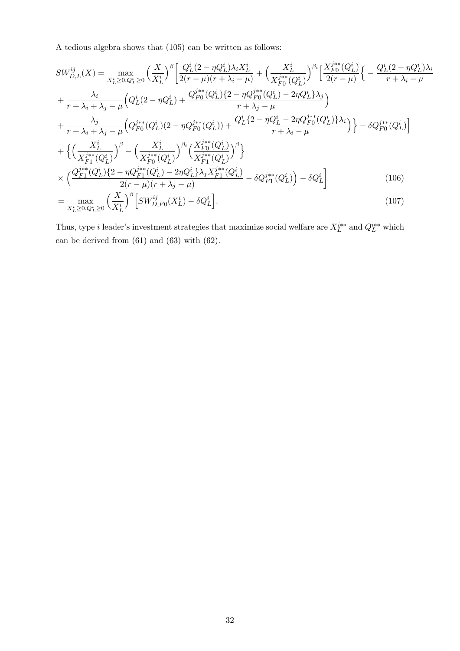A tedious algebra shows that (105) can be written as follows:

$$
SW_{D,L}^{ij}(X) = \max_{X_L^i \ge 0, Q_L^i \ge 0} \left(\frac{X}{X_L^i}\right)^{\beta} \left[\frac{Q_L^i(2 - \eta Q_L^i)\lambda_i X_L^i}{2(r - \mu)(r + \lambda_i - \mu)} + \left(\frac{X_L^i}{X_{F0}^{j**}(Q_L^i)}\right)^{\beta_i} \left[\frac{X_{F0}^{j**}(Q_L^i)}{2(r - \mu)}\right] \left(-\frac{Q_L^i(2 - \eta Q_L^i)\lambda_i}{r + \lambda_i - \mu}\right) + \frac{\lambda_i}{r + \lambda_i + \lambda_j - \mu} \left(Q_L^i(2 - \eta Q_L^i) + \frac{Q_L^{j**}(Q_L^i)\{2 - \eta Q_{F0}^{j**}(Q_L^i) - 2\eta Q_L^i\}\lambda_j}{r + \lambda_j - \mu}\right)
$$
\n
$$
+ \frac{\lambda_j}{r + \lambda_i + \lambda_j - \mu} \left(Q_{F0}^{j**}(Q_L^i)(2 - \eta Q_{F0}^{j**}(Q_L^i)) + \frac{Q_L^i\{2 - \eta Q_L^i - 2\eta Q_L^{j**}(Q_L^i)\}\lambda_i}{r + \lambda_i - \mu}\right)\right\} - \delta Q_{F0}^{j**}(Q_L^i)
$$
\n
$$
+ \left\{\left(\frac{X_L^i}{X_{F1}^{j**}(Q_L^i)}\right)^{\beta} - \left(\frac{X_L^i}{X_{F0}^{j**}(Q_L^i)}\right)^{\beta_i}\left(\frac{X_{F0}^{j**}(Q_L^i)}{X_{F1}^{j**}(Q_L^i)}\right)^{\beta}\right\}
$$
\n
$$
\times \left(\frac{Q_{F1}^{j**}(Q_L^i)\{2 - \eta Q_{F1}^{j**}(Q_L^i) - 2\eta Q_L^i\}\lambda_j X_{F1}^{j**}(Q_L^i)}{2(r - \mu)(r + \lambda_j - \mu)} - \delta Q_{F1}^{j**}(Q_L^i)\right) - \delta Q_L^i\right]
$$
\n
$$
= \max_{X_L^i \ge 0, Q_L^i \ge 0} \left(\frac{X}{X_L^i}\right)^{\beta} \left[SW_{D,F0}^{j*}(X_L^i) - \delta Q_L^i\right].
$$
\n(107)

Thus, type *i* leader's investment strategies that maximize social welfare are 
$$
X_L^{i**}
$$
 and  $Q_L^{i**}$  which can be derived from (61) and (63) with (62).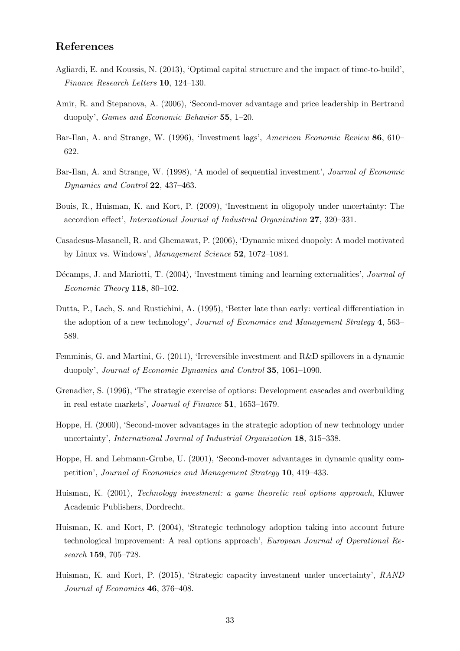# References

- Agliardi, E. and Koussis, N. (2013), 'Optimal capital structure and the impact of time-to-build', Finance Research Letters 10, 124–130.
- Amir, R. and Stepanova, A. (2006), 'Second-mover advantage and price leadership in Bertrand duopoly', Games and Economic Behavior 55, 1–20.
- Bar-Ilan, A. and Strange, W. (1996), 'Investment lags', American Economic Review 86, 610– 622.
- Bar-Ilan, A. and Strange, W. (1998), 'A model of sequential investment', Journal of Economic Dynamics and Control 22, 437–463.
- Bouis, R., Huisman, K. and Kort, P. (2009), 'Investment in oligopoly under uncertainty: The accordion effect', International Journal of Industrial Organization 27, 320–331.
- Casadesus-Masanell, R. and Ghemawat, P. (2006), 'Dynamic mixed duopoly: A model motivated by Linux vs. Windows', Management Science 52, 1072–1084.
- Décamps, J. and Mariotti, T. (2004), 'Investment timing and learning externalities', *Journal of* Economic Theory 118, 80–102.
- Dutta, P., Lach, S. and Rustichini, A. (1995), 'Better late than early: vertical differentiation in the adoption of a new technology', Journal of Economics and Management Strategy 4, 563– 589.
- Femminis, G. and Martini, G. (2011), 'Irreversible investment and R&D spillovers in a dynamic duopoly', Journal of Economic Dynamics and Control 35, 1061–1090.
- Grenadier, S. (1996), 'The strategic exercise of options: Development cascades and overbuilding in real estate markets', Journal of Finance 51, 1653–1679.
- Hoppe, H. (2000), 'Second-mover advantages in the strategic adoption of new technology under uncertainty', International Journal of Industrial Organization 18, 315–338.
- Hoppe, H. and Lehmann-Grube, U. (2001), 'Second-mover advantages in dynamic quality competition', Journal of Economics and Management Strategy 10, 419–433.
- Huisman, K. (2001), Technology investment: a game theoretic real options approach, Kluwer Academic Publishers, Dordrecht.
- Huisman, K. and Kort, P. (2004), 'Strategic technology adoption taking into account future technological improvement: A real options approach', European Journal of Operational Research 159, 705–728.
- Huisman, K. and Kort, P. (2015), 'Strategic capacity investment under uncertainty', RAND Journal of Economics 46, 376–408.